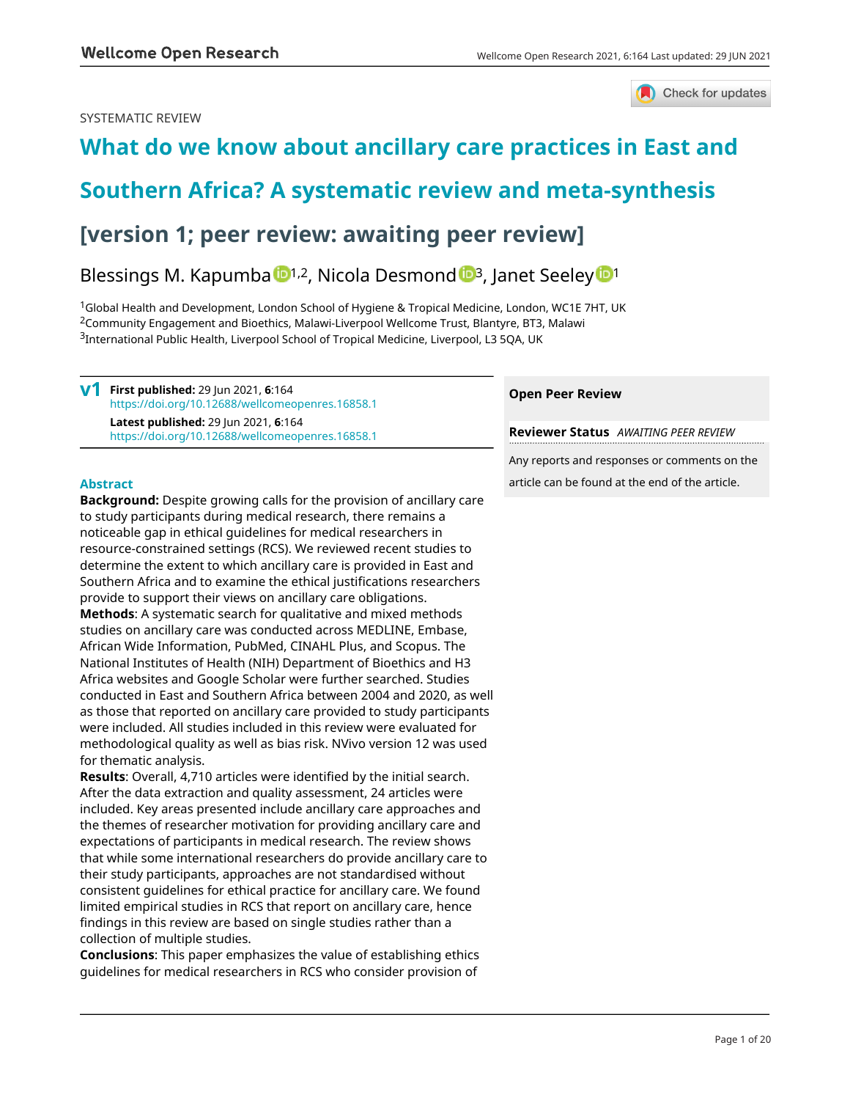## SYSTEMATIC REVIEW



# **[What do we know about ancillary care practices in East and](https://wellcomeopenresearch.org/articles/6-164/v1)**

# **[Southern Africa? A systematic review and meta-synthesis](https://wellcomeopenresearch.org/articles/6-164/v1)**

# **[version 1; peer review: awaiting peer review]**

## Blessings M. Kapumba  $\mathbb{D}^{1,2}$  $\mathbb{D}^{1,2}$  $\mathbb{D}^{1,2}$ , Nicola Desmond  $\mathbb{D}^{3}$  $\mathbb{D}^{3}$  $\mathbb{D}^{3}$ , Janet Seeley  $\mathbb{D}^{1}$

<sup>1</sup>Global Health and Development, London School of Hygiene & Tropical Medicine, London, WC1E 7HT, UK <sup>2</sup>Community Engagement and Bioethics, Malawi-Liverpool Wellcome Trust, Blantyre, BT3, Malawi <sup>3</sup>International Public Health, Liverpool School of Tropical Medicine, Liverpool, L3 5QA, UK

**First published:** 29 Jun 2021, **6**:164 **v1** <https://doi.org/10.12688/wellcomeopenres.16858.1> **Latest published:** 29 Jun 2021, **6**:164 <https://doi.org/10.12688/wellcomeopenres.16858.1>

## **Abstract**

**Background:** Despite growing calls for the provision of ancillary care to study participants during medical research, there remains a noticeable gap in ethical guidelines for medical researchers in resource-constrained settings (RCS). We reviewed recent studies to determine the extent to which ancillary care is provided in East and Southern Africa and to examine the ethical justifications researchers provide to support their views on ancillary care obligations. **Methods**: A systematic search for qualitative and mixed methods studies on ancillary care was conducted across MEDLINE, Embase, African Wide Information, PubMed, CINAHL Plus, and Scopus. The National Institutes of Health (NIH) Department of Bioethics and H3 Africa websites and Google Scholar were further searched. Studies conducted in East and Southern Africa between 2004 and 2020, as well as those that reported on ancillary care provided to study participants were included. All studies included in this review were evaluated for methodological quality as well as bias risk. NVivo version 12 was used for thematic analysis.

**Results**: Overall, 4,710 articles were identified by the initial search. After the data extraction and quality assessment, 24 articles were included. Key areas presented include ancillary care approaches and the themes of researcher motivation for providing ancillary care and expectations of participants in medical research. The review shows that while some international researchers do provide ancillary care to their study participants, approaches are not standardised without consistent guidelines for ethical practice for ancillary care. We found limited empirical studies in RCS that report on ancillary care, hence findings in this review are based on single studies rather than a collection of multiple studies.

**Conclusions**: This paper emphasizes the value of establishing ethics guidelines for medical researchers in RCS who consider provision of

## **Open Peer Review**

**Reviewer Status** *AWAITING PEER REVIEW*

Any reports and responses or comments on the article can be found at the end of the article.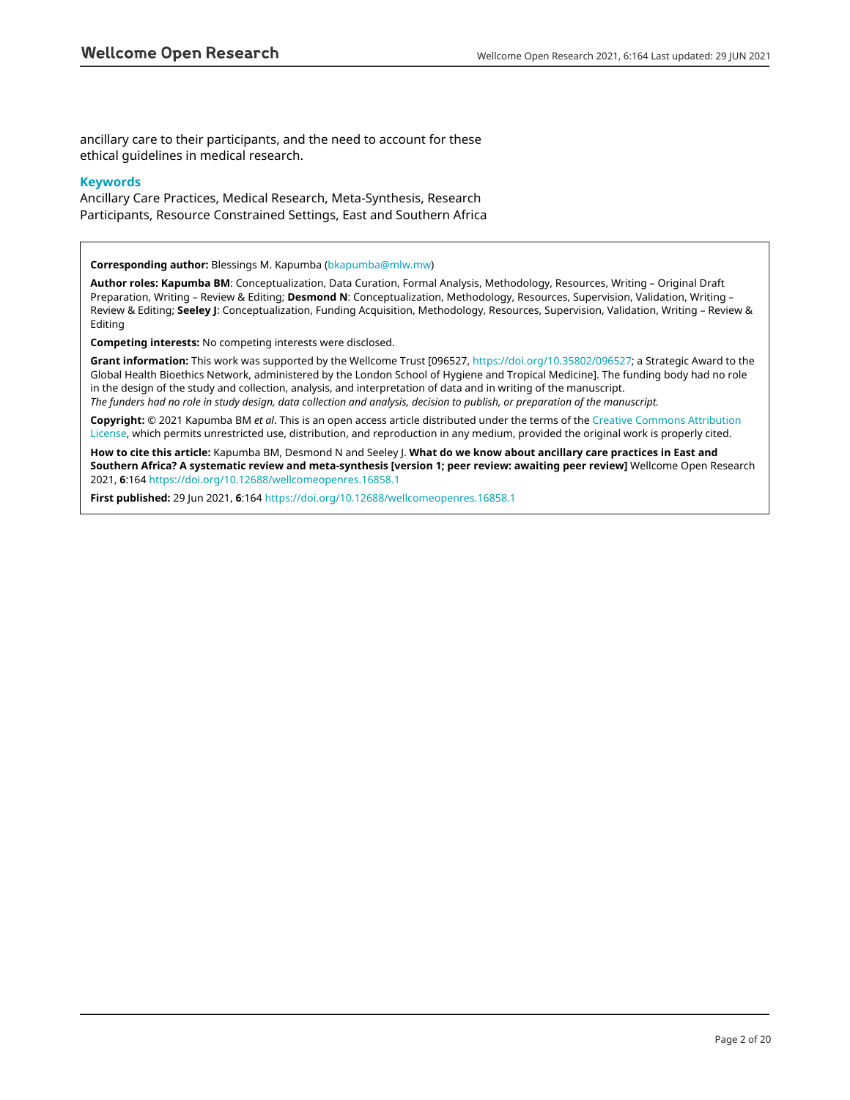ancillary care to their participants, and the need to account for these ethical guidelines in medical research.

## **Keywords**

Ancillary Care Practices, Medical Research, Meta-Synthesis, Research Participants, Resource Constrained Settings, East and Southern Africa

**Corresponding author:** Blessings M. Kapumba [\(bkapumba@mlw.mw\)](mailto:bkapumba@mlw.mw)

**Author roles: Kapumba BM**: Conceptualization, Data Curation, Formal Analysis, Methodology, Resources, Writing – Original Draft Preparation, Writing – Review & Editing; **Desmond N**: Conceptualization, Methodology, Resources, Supervision, Validation, Writing – Review & Editing; **Seeley J**: Conceptualization, Funding Acquisition, Methodology, Resources, Supervision, Validation, Writing – Review & Editing

**Competing interests:** No competing interests were disclosed.

**Grant information:** This work was supported by the Wellcome Trust [096527, <https://doi.org/10.35802/096527>; a Strategic Award to the Global Health Bioethics Network, administered by the London School of Hygiene and Tropical Medicine]. The funding body had no role in the design of the study and collection, analysis, and interpretation of data and in writing of the manuscript. *The funders had no role in study design, data collection and analysis, decision to publish, or preparation of the manuscript.*

**Copyright:** © 2021 Kapumba BM *et al*. This is an open access article distributed under the terms of the [Creative Commons Attribution](http://creativecommons.org/licenses/by/4.0/) [License](http://creativecommons.org/licenses/by/4.0/), which permits unrestricted use, distribution, and reproduction in any medium, provided the original work is properly cited.

**How to cite this article:** Kapumba BM, Desmond N and Seeley J. **What do we know about ancillary care practices in East and Southern Africa? A systematic review and meta-synthesis [version 1; peer review: awaiting peer review]** Wellcome Open Research 2021, **6**:164<https://doi.org/10.12688/wellcomeopenres.16858.1>

**First published:** 29 Jun 2021, **6**:164 <https://doi.org/10.12688/wellcomeopenres.16858.1>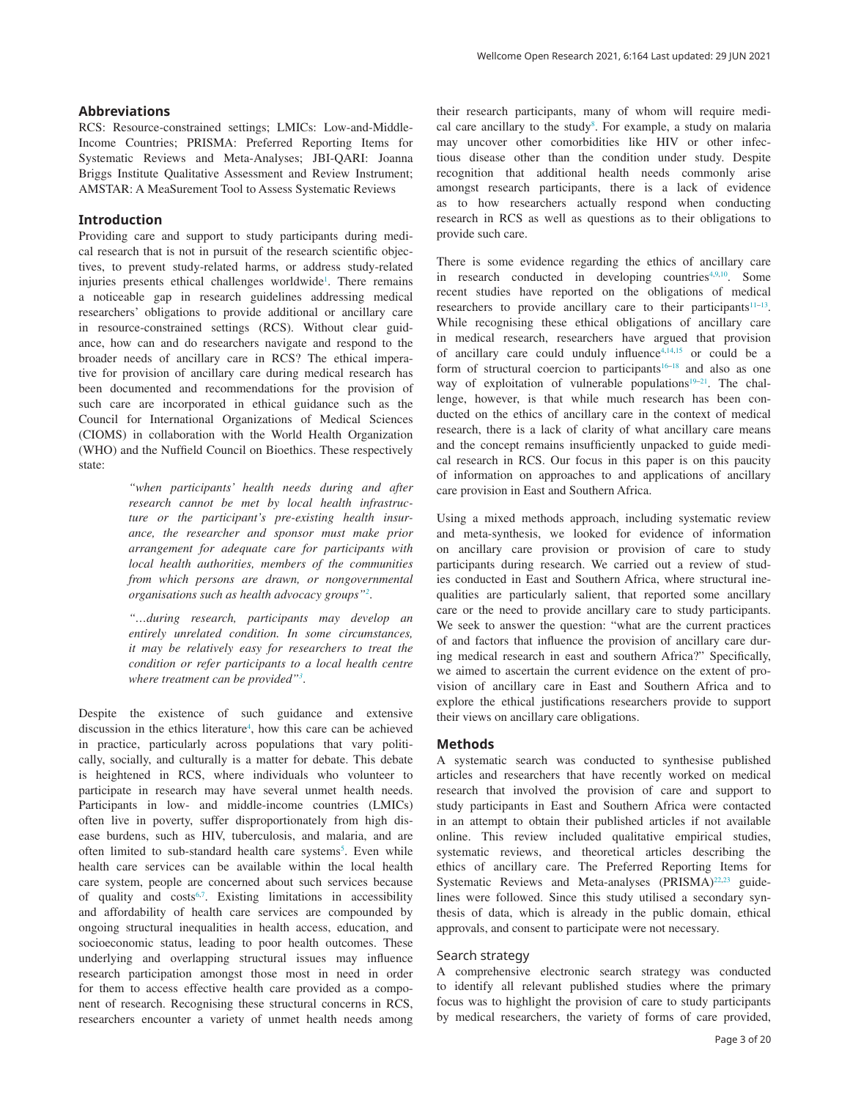RCS: Resource-constrained settings; LMICs: Low-and-Middle-Income Countries; PRISMA: Preferred Reporting Items for Systematic Reviews and Meta-Analyses; JBI-QARI: Joanna Briggs Institute Qualitative Assessment and Review Instrument; AMSTAR: A MeaSurement Tool to Assess Systematic Reviews

## **Introduction**

Providing care and support to study participants during medical research that is not in pursuit of the research scientific objectives, to prevent study-related harms, or address study-related injuries presents ethical challenges worldwide<sup>1</sup>. There remains a noticeable gap in research guidelines addressing medical researchers' obligations to provide additional or ancillary care in resource-constrained settings (RCS). Without clear guidance, how can and do researchers navigate and respond to the broader needs of ancillary care in RCS? The ethical imperative for provision of ancillary care during medical research has been documented and recommendations for the provision of such care are incorporated in ethical guidance such as the Council for International Organizations of Medical Sciences (CIOMS) in collaboration with the World Health Organization (WHO) and the Nuffield Council on Bioethics. These respectively state:

> *"when participants' health needs during and after research cannot be met by local health infrastructure or the participant's pre-existing health insurance, the researcher and sponsor must make prior arrangement for adequate care for participants with local health authorities, members of the communities from which persons are drawn, or nongovernmental organisations such as health advocacy groups"[2](#page-17-0)* .

> *"…during research, participants may develop an entirely unrelated condition. In some circumstances, it may be relatively easy for researchers to treat the condition or refer participants to a local health centre where treatment can be provided"[3](#page-17-0)* .

Despite the existence of such guidance and extensive discussion in the ethics literature<sup>4</sup>, how this care can be achieved in practice, particularly across populations that vary politically, socially, and culturally is a matter for debate. This debate is heightened in RCS, where individuals who volunteer to participate in research may have several unmet health needs. Participants in low- and middle-income countries (LMICs) often live in poverty, suffer disproportionately from high disease burdens, such as HIV, tuberculosis, and malaria, and are often limited to sub-standard health care systems<sup>[5](#page-17-0)</sup>. Even while health care services can be available within the local health care system, people are concerned about such services because of quality and costs<sup>6,7</sup>. Existing limitations in accessibility and affordability of health care services are compounded by ongoing structural inequalities in health access, education, and socioeconomic status, leading to poor health outcomes. These underlying and overlapping structural issues may influence research participation amongst those most in need in order for them to access effective health care provided as a component of research. Recognising these structural concerns in RCS, researchers encounter a variety of unmet health needs among

their research participants, many of whom will require medical care ancillary to the study $8$ . For example, a study on malaria may uncover other comorbidities like HIV or other infectious disease other than the condition under study. Despite recognition that additional health needs commonly arise amongst research participants, there is a lack of evidence as to how researchers actually respond when conducting research in RCS as well as questions as to their obligations to provide such care.

There is some evidence regarding the ethics of ancillary care in research conducted in developing countries $4,9,10$ . Some recent studies have reported on the obligations of medical researchers to provide ancillary care to their participants $11-13$ . While recognising these ethical obligations of ancillary care in medical research, researchers have argued that provision of ancillary care could unduly influence<sup>4,14,15</sup> or could be a form of structural coercion to participants<sup>16–18</sup> and also as one way of exploitation of vulnerable populations<sup>19–21</sup>. The challenge, however, is that while much research has been conducted on the ethics of ancillary care in the context of medical research, there is a lack of clarity of what ancillary care means and the concept remains insufficiently unpacked to guide medical research in RCS. Our focus in this paper is on this paucity of information on approaches to and applications of ancillary care provision in East and Southern Africa.

Using a mixed methods approach, including systematic review and meta-synthesis, we looked for evidence of information on ancillary care provision or provision of care to study participants during research. We carried out a review of studies conducted in East and Southern Africa, where structural inequalities are particularly salient, that reported some ancillary care or the need to provide ancillary care to study participants. We seek to answer the question: "what are the current practices of and factors that influence the provision of ancillary care during medical research in east and southern Africa?" Specifically, we aimed to ascertain the current evidence on the extent of provision of ancillary care in East and Southern Africa and to explore the ethical justifications researchers provide to support their views on ancillary care obligations.

#### **Methods**

A systematic search was conducted to synthesise published articles and researchers that have recently worked on medical research that involved the provision of care and support to study participants in East and Southern Africa were contacted in an attempt to obtain their published articles if not available online. This review included qualitative empirical studies, systematic reviews, and theoretical articles describing the ethics of ancillary care. The Preferred Reporting Items for Systematic Reviews and Meta-analyses (PRISMA)<sup>22,23</sup> guidelines were followed. Since this study utilised a secondary synthesis of data, which is already in the public domain, ethical approvals, and consent to participate were not necessary.

### Search strategy

A comprehensive electronic search strategy was conducted to identify all relevant published studies where the primary focus was to highlight the provision of care to study participants by medical researchers, the variety of forms of care provided,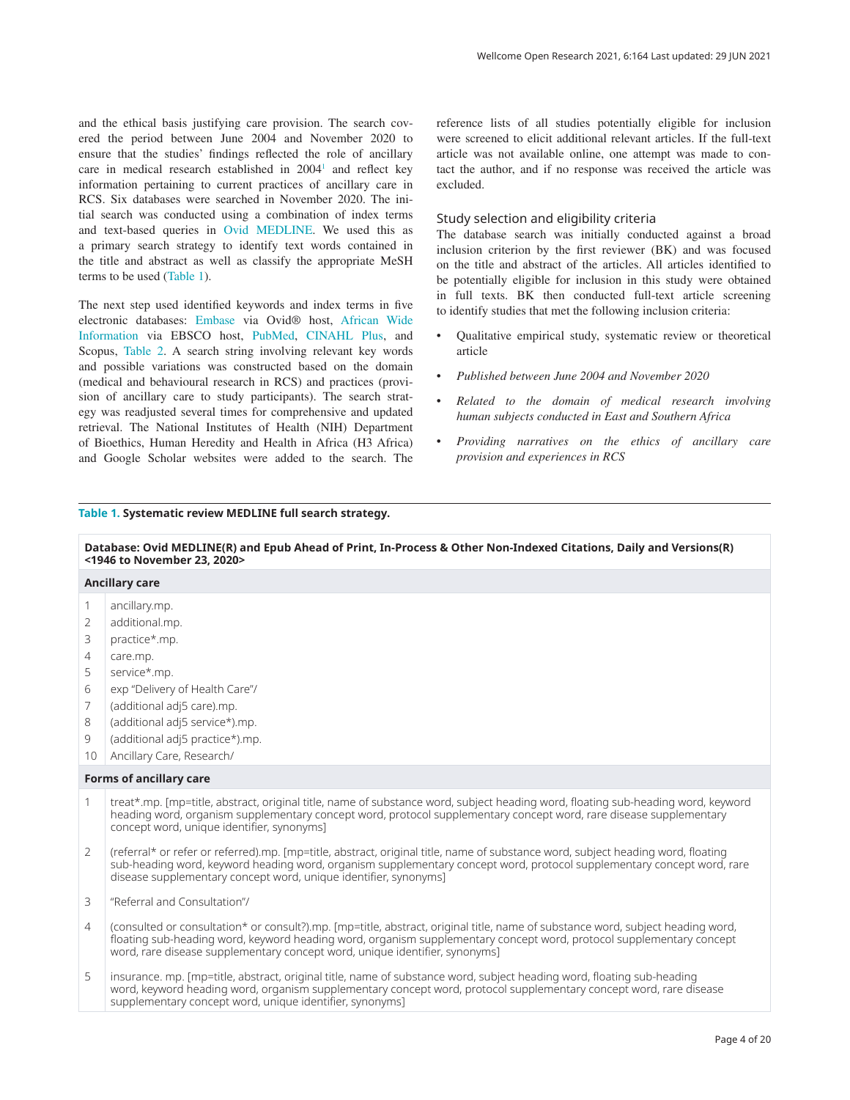and the ethical basis justifying care provision. The search covered the period between June 2004 and November 2020 to ensure that the studies' findings reflected the role of ancillary care in medical research established in 2004<sup>[1](#page-17-0)</sup> and reflect key information pertaining to current practices of ancillary care in RCS. Six databases were searched in November 2020. The initial search was conducted using a combination of index terms and text-based queries in [Ovid MEDLINE](https://www.wolterskluwer.com/en/solutions/ovid/ovid-medline-901?utm_landingPage=https://www.wolterskluwer.com/en/solutions/ovid/ovid-medline-901&utm_prevPage=https://www.google.com/). We used this as a primary search strategy to identify text words contained in the title and abstract as well as classify the appropriate MeSH terms to be used (Table 1).

The next step used identified keywords and index terms in five electronic databases: [Embase](https://www.wolterskluwer.com/en/solutions/ovid/903?utm_landingPage=https://www.wolterskluwer.com/en/solutions/ovid/ovid-medline-901&utm_prevPage=https://www.google.com/) via Ovid® host, [African Wide](https://www.ebsco.com/products/research-databases/africa-wide-information)  [Information](https://www.ebsco.com/products/research-databases/africa-wide-information) via EBSCO host, [PubMed](https://pubmed.ncbi.nlm.nih.gov/), [CINAHL Plus](https://www.ebsco.com/products/research-databases/cinahl-plus), and Scopus, [Table 2.](#page-5-0) A search string involving relevant key words and possible variations was constructed based on the domain (medical and behavioural research in RCS) and practices (provision of ancillary care to study participants). The search strategy was readjusted several times for comprehensive and updated retrieval. The National Institutes of Health (NIH) Department of Bioethics, Human Heredity and Health in Africa (H3 Africa) and Google Scholar websites were added to the search. The

## reference lists of all studies potentially eligible for inclusion were screened to elicit additional relevant articles. If the full-text article was not available online, one attempt was made to contact the author, and if no response was received the article was excluded.

## Study selection and eligibility criteria

The database search was initially conducted against a broad inclusion criterion by the first reviewer (BK) and was focused on the title and abstract of the articles. All articles identified to be potentially eligible for inclusion in this study were obtained in full texts. BK then conducted full-text article screening to identify studies that met the following inclusion criteria:

- Qualitative empirical study, systematic review or theoretical article
- *Published between June 2004 and November 2020*
- *Related to the domain of medical research involving human subjects conducted in East and Southern Africa*
- *Providing narratives on the ethics of ancillary care provision and experiences in RCS*

#### **Table 1. Systematic review MEDLINE full search strategy.**

#### **Database: Ovid MEDLINE(R) and Epub Ahead of Print, In-Process & Other Non-Indexed Citations, Daily and Versions(R) <1946 to November 23, 2020> Ancillary care** 1 2 3 4 5 6 7 8 9 10 ancillary.mp. additional.mp. practice\*.mp. care.mp. service\*.mp. exp "Delivery of Health Care"/ (additional adj5 care).mp. (additional adj5 service\*).mp. (additional adj5 practice\*).mp. Ancillary Care, Research/ **Forms of ancillary care** 1 treat\*.mp. [mp=title, abstract, original title, name of substance word, subject heading word, floating sub-heading word, keyword heading word, organism supplementary concept word, protocol supplementary concept word, rare disease supplementary concept word, unique identifier, synonyms]

 $\overline{\mathcal{L}}$ (referral\* or refer or referred).mp. [mp=title, abstract, original title, name of substance word, subject heading word, floating sub-heading word, keyword heading word, organism supplementary concept word, protocol supplementary concept word, rare disease supplementary concept word, unique identifier, synonyms]

3 "Referral and Consultation"/

- 4 (consulted or consultation\* or consult?).mp. [mp=title, abstract, original title, name of substance word, subject heading word, floating sub-heading word, keyword heading word, organism supplementary concept word, protocol supplementary concept word, rare disease supplementary concept word, unique identifier, synonyms]
- 5 insurance. mp. [mp=title, abstract, original title, name of substance word, subject heading word, floating sub-heading word, keyword heading word, organism supplementary concept word, protocol supplementary concept word, rare disease supplementary concept word, unique identifier, synonyms]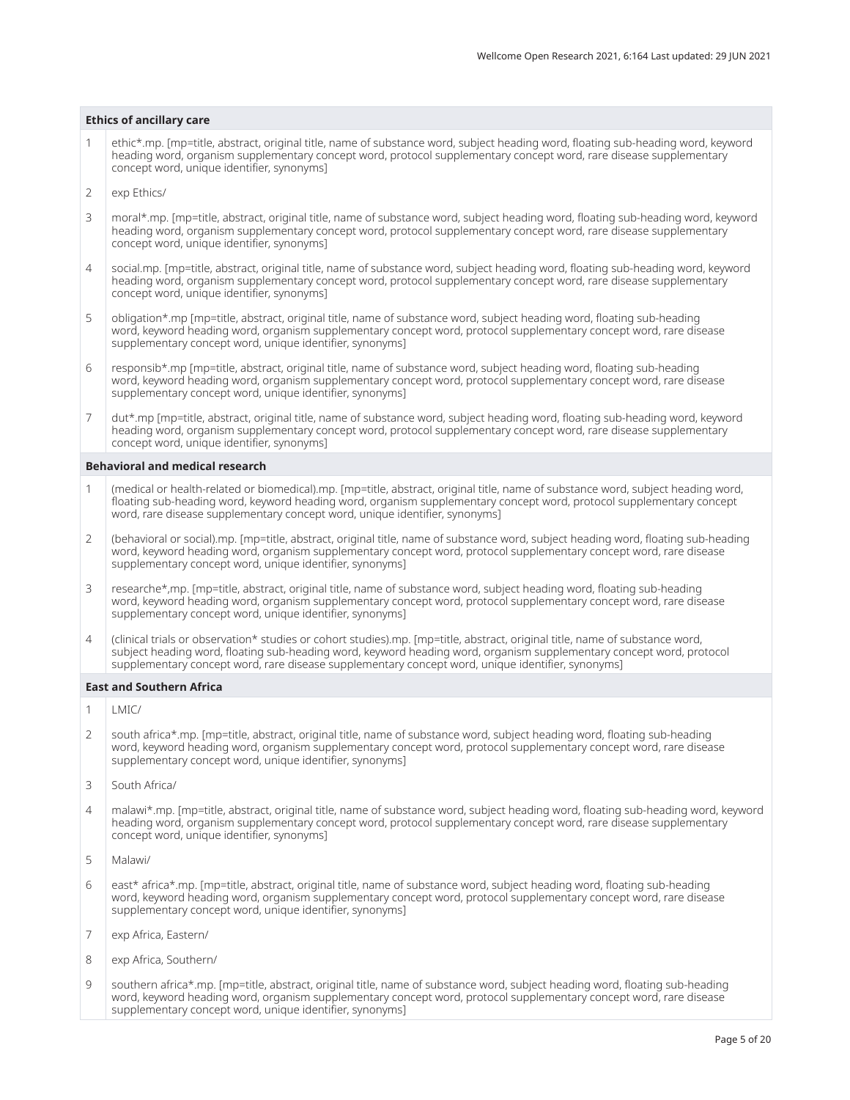#### **Ethics of ancillary care**

- 1 ethic\*.mp. [mp=title, abstract, original title, name of substance word, subject heading word, floating sub-heading word, keyword heading word, organism supplementary concept word, protocol supplementary concept word, rare disease supplementary concept word, unique identifier, synonyms]
- 2 exp Ethics/
- 3 moral\*.mp. [mp=title, abstract, original title, name of substance word, subject heading word, floating sub-heading word, keyword heading word, organism supplementary concept word, protocol supplementary concept word, rare disease supplementary concept word, unique identifier, synonyms]
- 4 social.mp. [mp=title, abstract, original title, name of substance word, subject heading word, floating sub-heading word, keyword heading word, organism supplementary concept word, protocol supplementary concept word, rare disease supplementary concept word, unique identifier, synonyms]
- 5 obligation\*.mp [mp=title, abstract, original title, name of substance word, subject heading word, floating sub-heading word, keyword heading word, organism supplementary concept word, protocol supplementary concept word, rare disease supplementary concept word, unique identifier, synonyms]
- 6 responsib\*.mp [mp=title, abstract, original title, name of substance word, subject heading word, floating sub-heading word, keyword heading word, organism supplementary concept word, protocol supplementary concept word, rare disease supplementary concept word, unique identifier, synonyms]
- 7 dut\*.mp [mp=title, abstract, original title, name of substance word, subject heading word, floating sub-heading word, keyword heading word, organism supplementary concept word, protocol supplementary concept word, rare disease supplementary concept word, unique identifier, synonyms]

#### **Behavioral and medical research**

- 1 (medical or health-related or biomedical).mp. [mp=title, abstract, original title, name of substance word, subject heading word, floating sub-heading word, keyword heading word, organism supplementary concept word, protocol supplementary concept word, rare disease supplementary concept word, unique identifier, synonyms]
- 2 (behavioral or social).mp. [mp=title, abstract, original title, name of substance word, subject heading word, floating sub-heading word, keyword heading word, organism supplementary concept word, protocol supplementary concept word, rare disease supplementary concept word, unique identifier, synonyms]
- 3 researche\*,mp. [mp=title, abstract, original title, name of substance word, subject heading word, floating sub-heading word, keyword heading word, organism supplementary concept word, protocol supplementary concept word, rare disease supplementary concept word, unique identifier, synonyms]
- 4 (clinical trials or observation\* studies or cohort studies).mp. [mp=title, abstract, original title, name of substance word, subject heading word, floating sub-heading word, keyword heading word, organism supplementary concept word, protocol supplementary concept word, rare disease supplementary concept word, unique identifier, synonyms]

#### **East and Southern Africa**

- 1 LMIC/
- 2 south africa\*.mp. [mp=title, abstract, original title, name of substance word, subject heading word, floating sub-heading word, keyword heading word, organism supplementary concept word, protocol supplementary concept word, rare disease supplementary concept word, unique identifier, synonyms]
- 3 South Africa/
- 4 malawi\*.mp. [mp=title, abstract, original title, name of substance word, subject heading word, floating sub-heading word, keyword heading word, organism supplementary concept word, protocol supplementary concept word, rare disease supplementary concept word, unique identifier, synonyms]
- 5 Malawi/
- 6 east\* africa\*.mp. [mp=title, abstract, original title, name of substance word, subject heading word, floating sub-heading word, keyword heading word, organism supplementary concept word, protocol supplementary concept word, rare disease supplementary concept word, unique identifier, synonyms]
- 7 exp Africa, Eastern/
- 8 exp Africa, Southern/
- 9 southern africa\*.mp. [mp=title, abstract, original title, name of substance word, subject heading word, floating sub-heading word, keyword heading word, organism supplementary concept word, protocol supplementary concept word, rare disease supplementary concept word, unique identifier, synonyms]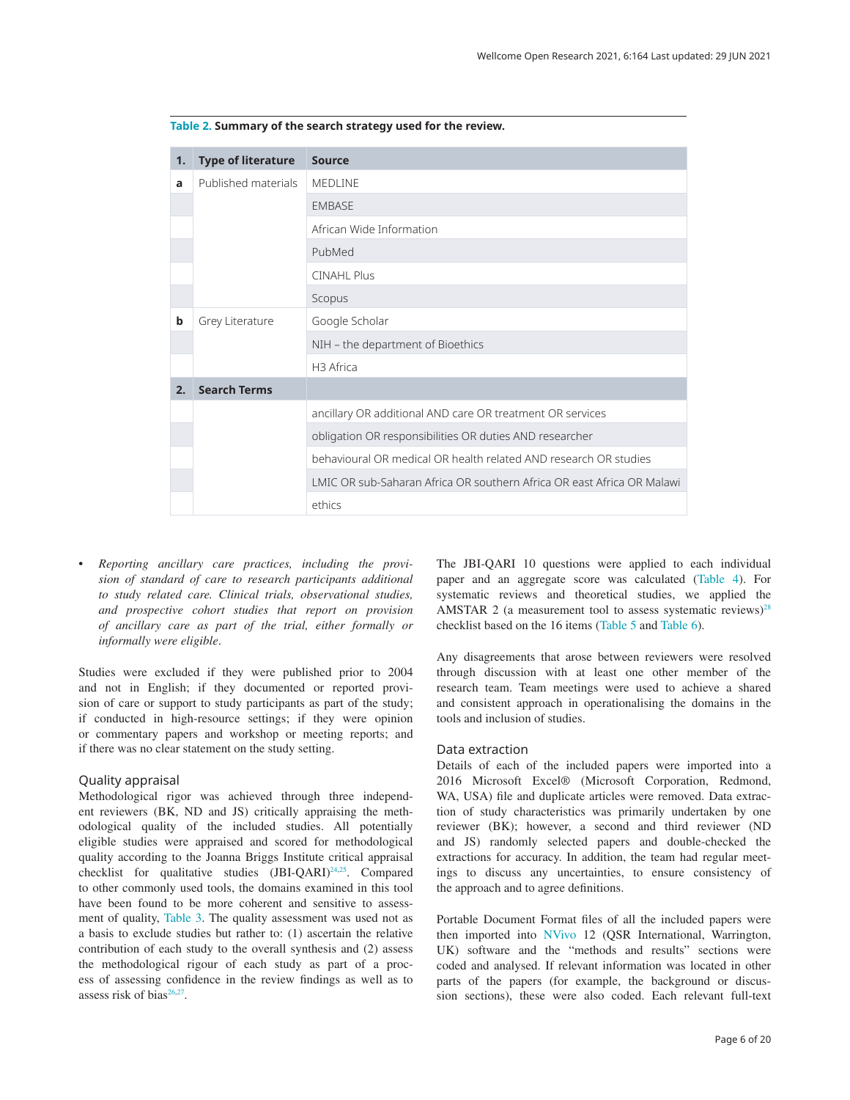| 1. | <b>Type of literature</b> | <b>Source</b>                                                          |
|----|---------------------------|------------------------------------------------------------------------|
| a  | Published materials       | <b>MEDLINE</b>                                                         |
|    |                           | <b>EMBASE</b>                                                          |
|    |                           | African Wide Information                                               |
|    |                           | PubMed                                                                 |
|    |                           | <b>CINAHL Plus</b>                                                     |
|    |                           | Scopus                                                                 |
| b  | Grey Literature           | Google Scholar                                                         |
|    |                           | NIH - the department of Bioethics                                      |
|    |                           | H3 Africa                                                              |
| 2. | <b>Search Terms</b>       |                                                                        |
|    |                           | ancillary OR additional AND care OR treatment OR services              |
|    |                           | obligation OR responsibilities OR duties AND researcher                |
|    |                           | behavioural OR medical OR health related AND research OR studies       |
|    |                           | LMIC OR sub-Saharan Africa OR southern Africa OR east Africa OR Malawi |
|    |                           | ethics                                                                 |

<span id="page-5-0"></span>**Table 2. Summary of the search strategy used for the review.**

*• Reporting ancillary care practices, including the provision of standard of care to research participants additional to study related care. Clinical trials, observational studies, and prospective cohort studies that report on provision of ancillary care as part of the trial, either formally or informally were eligible*.

Studies were excluded if they were published prior to 2004 and not in English; if they documented or reported provision of care or support to study participants as part of the study; if conducted in high-resource settings; if they were opinion or commentary papers and workshop or meeting reports; and if there was no clear statement on the study setting.

#### Quality appraisal

Methodological rigor was achieved through three independent reviewers (BK, ND and JS) critically appraising the methodological quality of the included studies. All potentially eligible studies were appraised and scored for methodological quality according to the Joanna Briggs Institute critical appraisal checklist for qualitative studies  $(BI-QARI)^{24,25}$  $(BI-QARI)^{24,25}$  $(BI-QARI)^{24,25}$ . Compared to other commonly used tools, the domains examined in this tool have been found to be more coherent and sensitive to assessment of quality, [Table 3](#page-6-0). The quality assessment was used not as a basis to exclude studies but rather to: (1) ascertain the relative contribution of each study to the overall synthesis and (2) assess the methodological rigour of each study as part of a process of assessing confidence in the review findings as well as to assess risk of bias<sup>[26,27](#page-18-0)</sup>.

The JBI-QARI 10 questions were applied to each individual paper and an aggregate score was calculated ([Table 4](#page-6-0)). For systematic reviews and theoretical studies, we applied the AMSTAR 2 (a measurement tool to assess systematic reviews) $28$ checklist based on the 16 items [\(Table 5](#page-7-0) and [Table 6\)](#page-7-0).

Any disagreements that arose between reviewers were resolved through discussion with at least one other member of the research team. Team meetings were used to achieve a shared and consistent approach in operationalising the domains in the tools and inclusion of studies.

#### Data extraction

Details of each of the included papers were imported into a 2016 Microsoft Excel® (Microsoft Corporation, Redmond, WA, USA) file and duplicate articles were removed. Data extraction of study characteristics was primarily undertaken by one reviewer (BK); however, a second and third reviewer (ND and JS) randomly selected papers and double-checked the extractions for accuracy. In addition, the team had regular meetings to discuss any uncertainties, to ensure consistency of the approach and to agree definitions.

Portable Document Format files of all the included papers were then imported into [NVivo](https://www.qsrinternational.com/nvivo-qualitative-data-analysis-software/home) 12 (QSR International, Warrington, UK) software and the "methods and results" sections were coded and analysed. If relevant information was located in other parts of the papers (for example, the background or discussion sections), these were also coded. Each relevant full-text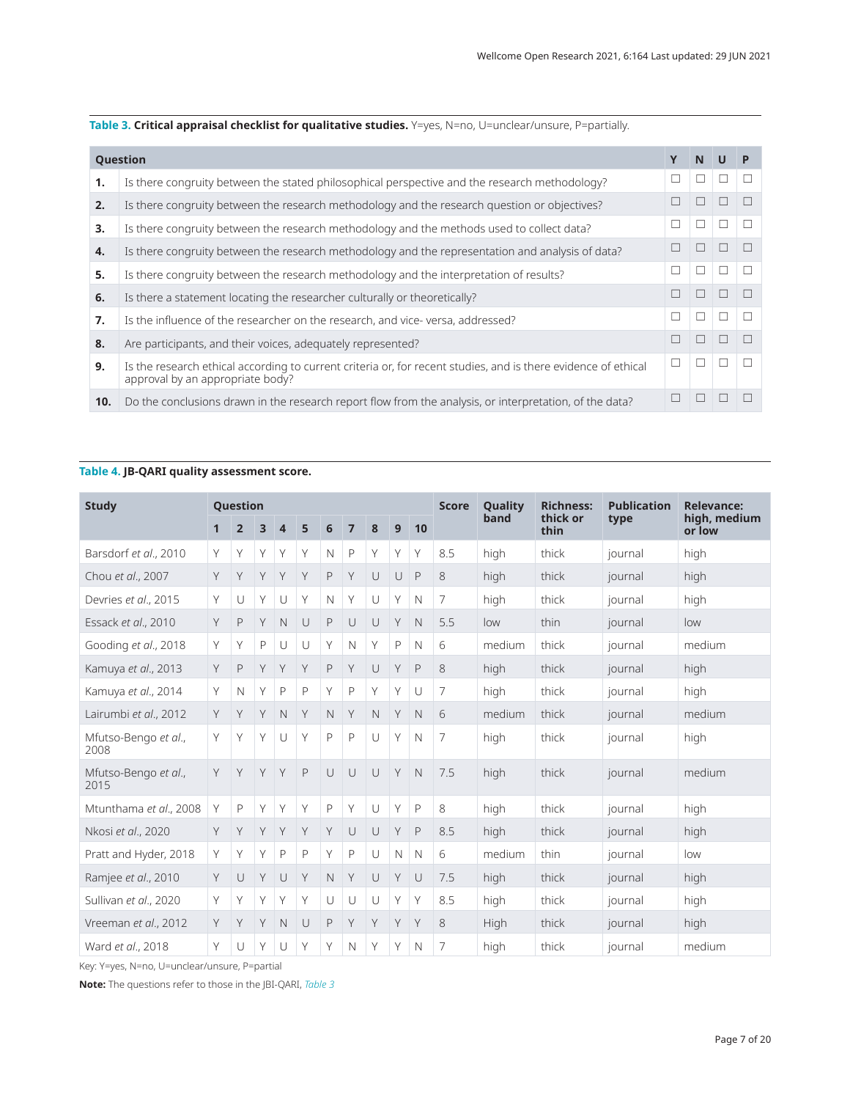<span id="page-6-0"></span>**Table 3. Critical appraisal checklist for qualitative studies.** Y=yes, N=no, U=unclear/unsure, P=partially.

|     | <b>Question</b>                                                                                                                                    | N | U            |  |
|-----|----------------------------------------------------------------------------------------------------------------------------------------------------|---|--------------|--|
| 1.  | Is there congruity between the stated philosophical perspective and the research methodology?                                                      |   |              |  |
| 2.  | Is there congruity between the research methodology and the research question or objectives?                                                       |   |              |  |
| 3.  | Is there congruity between the research methodology and the methods used to collect data?                                                          |   |              |  |
| 4.  | Is there congruity between the research methodology and the representation and analysis of data?                                                   |   |              |  |
| 5.  | Is there congruity between the research methodology and the interpretation of results?                                                             |   | П            |  |
| 6.  | Is there a statement locating the researcher culturally or theoretically?                                                                          |   |              |  |
| 7.  | Is the influence of the researcher on the research, and vice-versa, addressed?                                                                     | г | $\mathbf{I}$ |  |
| 8.  | Are participants, and their voices, adequately represented?                                                                                        |   |              |  |
| 9.  | Is the research ethical according to current criteria or, for recent studies, and is there evidence of ethical<br>approval by an appropriate body? |   |              |  |
| 10. | Do the conclusions drawn in the research report flow from the analysis, or interpretation, of the data?                                            |   |              |  |

## **Table 4. JB-QARI quality assessment score.**

| <b>Study</b>                 |              | Question       |   |              |              |              |              |              |              |              | <b>Score</b> | Quality | <b>Richness:</b> | <b>Publication</b> | <b>Relevance:</b>      |
|------------------------------|--------------|----------------|---|--------------|--------------|--------------|--------------|--------------|--------------|--------------|--------------|---------|------------------|--------------------|------------------------|
|                              | $\mathbf{1}$ | $\overline{2}$ | 3 | 4            | 5            | 6            | 7            | 8            | 9            | 10           |              | band    | thick or<br>thin | type               | high, medium<br>or low |
| Barsdorf et al., 2010        | Y            | Y              | Υ | Y            | Y            | $\mathsf{N}$ | $\mathsf{P}$ | Y            | Y            | Y            | 8.5          | high    | thick            | journal            | high                   |
| Chou et al., 2007            | Y            | Y              |   | Y            | Y            | P            | Y            | U            | U            | $\mathsf{P}$ | 8            | high    | thick            | journal            | high                   |
| Devries et al., 2015         | Y            | U              | Υ | U            | Y            | $\mathsf{N}$ | Y            | U            | Y            | N            | 7            | high    | thick            | journal            | high                   |
| Essack et al., 2010          | Y            | $\mathsf{P}$   | Y | N            | $\cup$       | P            | $\cup$       | U            | Y            | $\mathbb N$  | 5.5          | low     | thin             | journal            | low                    |
| Gooding et al., 2018         | Y            | Y              | P | U            | $\cup$       | Υ            | $\mathbb N$  | Υ            | P            | $\mathbb N$  | 6            | medium  | thick            | journal            | medium                 |
| Kamuya et al., 2013          | Y            | $\mathsf{P}$   | Υ | Y            | Y            | $\mathsf{P}$ | Y            | U            | Y            | $\mathsf{P}$ | 8            | high    | thick            | journal            | high                   |
| Kamuya et al., 2014          | Y            | $\hbox{N}$     | Υ | $\mathsf{P}$ | $\mathsf{P}$ | Υ            | $\mathsf{P}$ | Y            | Y            | U            | 7            | high    | thick            | journal            | high                   |
| Lairumbi et al., 2012        | Y            | Y              | Y | $\mathsf{N}$ | Y            | $\mathsf{N}$ | Y            | $\mathsf{N}$ | Y            | $\mathbb N$  | 6            | medium  | thick            | journal            | medium                 |
| Mfutso-Bengo et al.,<br>2008 | Y            | Y              | Y | $\cup$       | Y            | P            | $\mathsf{P}$ | $\cup$       | Y            | $\mathbb N$  | 7            | high    | thick            | journal            | high                   |
| Mfutso-Bengo et al.,<br>2015 | Y            | Y              | Υ | Y            | $\mathsf{P}$ | $\cup$       | $\cup$       | $\cup$       | Y            | $\mathbb N$  | 7.5          | high    | thick            | journal            | medium                 |
| Mtunthama et al., 2008       | Y            | P              | Y | Y            | Y            | P            | Y            | $\cup$       | Y            | $\mathsf{P}$ | 8            | high    | thick            | journal            | high                   |
| Nkosi et al., 2020           | Y            | Y              |   | Y            | Y            | Y            | $\cup$       | $\cup$       | Y            | $\mathsf{P}$ | 8.5          | high    | thick            | journal            | high                   |
| Pratt and Hyder, 2018        | Y            | Y              | Υ | $\mathsf{P}$ | $\mathsf{P}$ | Υ            | $\mathsf{P}$ | U            | $\mathsf{N}$ | $\mathbb N$  | 6            | medium  | thin             | journal            | low                    |
| Ramjee et al., 2010          | Y            | U              | Y | U            | Y            | $\mathsf{N}$ | Y            | U            | Y            | U            | 7.5          | high    | thick            | journal            | high                   |
| Sullivan et al., 2020        | Y            | Y              | Υ | Y            | Υ            | U            | $\cup$       | $\cup$       | Υ            | Y            | 8.5          | high    | thick            | journal            | high                   |
| Vreeman et al., 2012         | Y            | Y              |   | N            | U            | P            | Y            | Y            | Y            | Y            | 8            | High    | thick            | journal            | high                   |
| Ward et al., 2018            | Y            | U              | Y | U            | Y            | Y            | $\mathbb N$  | Y            | Y            | $\mathbb N$  | 7            | high    | thick            | journal            | medium                 |

Key: Y=yes, N=no, U=unclear/unsure, P=partial

**Note:** The questions refer to those in the JBI-QARI, *Table 3*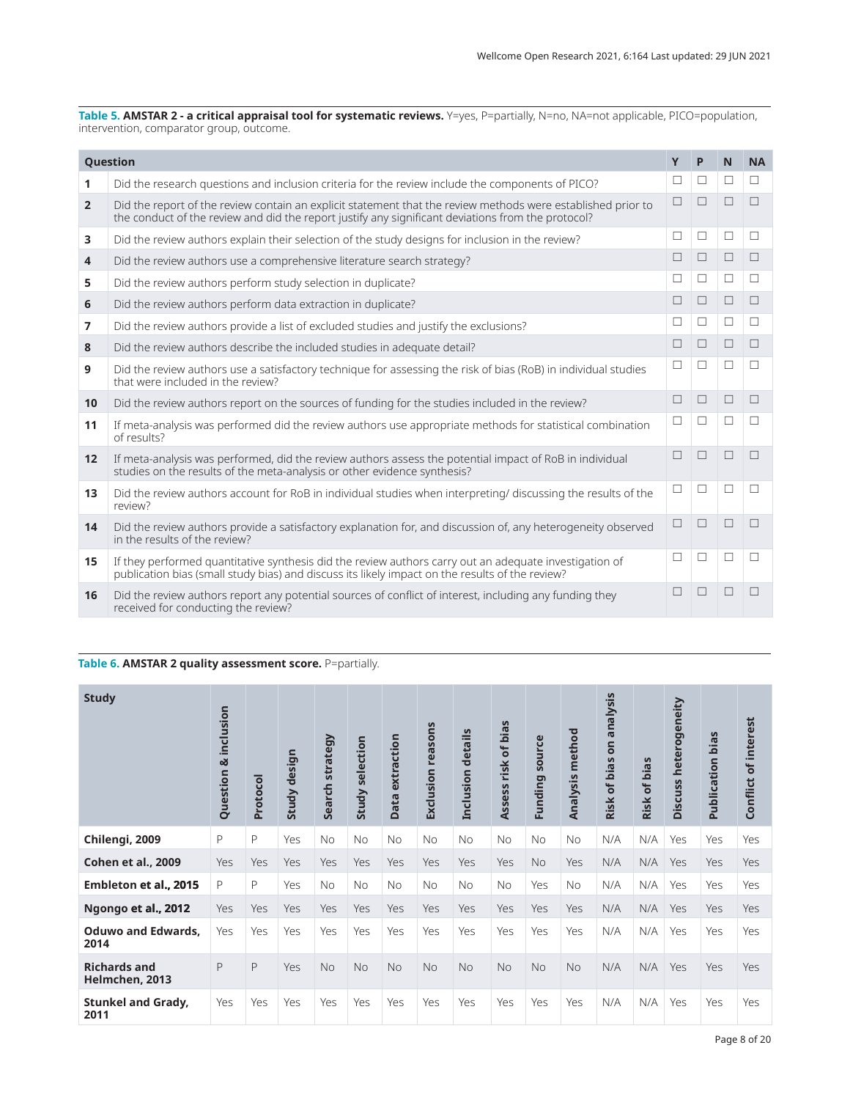<span id="page-7-0"></span>**Table 5. AMSTAR 2 - a critical appraisal tool for systematic reviews.** Y=yes, P=partially, N=no, NA=not applicable, PICO=population, intervention, comparator group, outcome.

|                 | <b>Question</b>                                                                                                                                                                                                    | Y      | P      | N | <b>NA</b> |
|-----------------|--------------------------------------------------------------------------------------------------------------------------------------------------------------------------------------------------------------------|--------|--------|---|-----------|
| 1               | Did the research questions and inclusion criteria for the review include the components of PICO?                                                                                                                   | ⊔      | □      | П | П         |
| $\overline{2}$  | Did the report of the review contain an explicit statement that the review methods were established prior to<br>the conduct of the review and did the report justify any significant deviations from the protocol? | П      |        | П | П         |
| 3               | Did the review authors explain their selection of the study designs for inclusion in the review?                                                                                                                   | $\Box$ | □      | □ | □         |
| $\overline{4}$  | Did the review authors use a comprehensive literature search strategy?                                                                                                                                             | П      | П      | П | П         |
| 5               | Did the review authors perform study selection in duplicate?                                                                                                                                                       | П      | П      | П | П         |
| 6               | Did the review authors perform data extraction in duplicate?                                                                                                                                                       | П      | П      | П | $\Box$    |
| $\overline{7}$  | Did the review authors provide a list of excluded studies and justify the exclusions?                                                                                                                              | П      | $\Box$ | П | $\Box$    |
| 8               | Did the review authors describe the included studies in adequate detail?                                                                                                                                           | $\Box$ | П      | П | П         |
| 9               | Did the review authors use a satisfactory technique for assessing the risk of bias (RoB) in individual studies<br>that were included in the review?                                                                | П      | П      | П | П         |
| 10 <sup>1</sup> | Did the review authors report on the sources of funding for the studies included in the review?                                                                                                                    | П      | П      | П | П         |
| 11              | If meta-analysis was performed did the review authors use appropriate methods for statistical combination<br>of results?                                                                                           | П      | □      | П | $\Box$    |
| 12              | If meta-analysis was performed, did the review authors assess the potential impact of RoB in individual<br>studies on the results of the meta-analysis or other evidence synthesis?                                | П      |        | ш | г         |
| 13              | Did the review authors account for RoB in individual studies when interpreting/ discussing the results of the<br>review?                                                                                           | П      | П      | П | П         |
| 14              | Did the review authors provide a satisfactory explanation for, and discussion of, any heterogeneity observed<br>in the results of the review?                                                                      | П      | П      | П | П         |
| 15              | If they performed quantitative synthesis did the review authors carry out an adequate investigation of<br>publication bias (small study bias) and discuss its likely impact on the results of the review?          | П      | П      | П | П         |
| 16              | Did the review authors report any potential sources of conflict of interest, including any funding they<br>received for conducting the review?                                                                     | П      |        | П |           |

## **Table 6. AMSTAR 2 quality assessment score.** P=partially.

| <b>Study</b>                          | inclusion<br>৵<br>Question | Protocol | design<br><b>Study</b> | strategy<br>Search | selection<br>Study | extraction<br>Data | <b>Exclusion reasons</b> | details<br>Inclusion | risk of bias<br>Assess | source<br>Funding | method<br>Analysis | nalysis<br>ā<br>S<br>bias<br>$\delta$<br><b>Risk</b> | bias<br>$\overline{\sigma}$<br>Risk | heterogeneity<br><b>Discuss</b> | bias<br>Publication | of interest<br>Conflict |
|---------------------------------------|----------------------------|----------|------------------------|--------------------|--------------------|--------------------|--------------------------|----------------------|------------------------|-------------------|--------------------|------------------------------------------------------|-------------------------------------|---------------------------------|---------------------|-------------------------|
| Chilengi, 2009                        | P                          | P        | Yes                    | <b>No</b>          | <b>No</b>          | No                 | <b>No</b>                | <b>No</b>            | <b>No</b>              | No                | <b>No</b>          | N/A                                                  | N/A                                 | Yes                             | Yes                 | Yes                     |
| Cohen et al., 2009                    | Yes                        | Yes      | Yes                    | Yes                | Yes                | Yes                | Yes                      | Yes                  | Yes                    | <b>No</b>         | Yes                | N/A                                                  | N/A                                 | <b>Yes</b>                      | <b>Yes</b>          | <b>Yes</b>              |
| Embleton et al., 2015                 | P                          | P        | Yes                    | <b>No</b>          | <b>No</b>          | <b>No</b>          | <b>No</b>                | <b>No</b>            | <b>No</b>              | Yes               | <b>No</b>          | N/A                                                  | N/A                                 | Yes                             | Yes                 | Yes                     |
| Ngongo et al., 2012                   | Yes                        | Yes      | Yes                    | Yes                | Yes                | Yes                | Yes                      | Yes                  | Yes                    | Yes               | Yes                | N/A                                                  | N/A                                 | Yes                             | <b>Yes</b>          | Yes                     |
| <b>Oduwo and Edwards,</b><br>2014     | Yes                        | Yes      | Yes                    | Yes                | Yes                | Yes                | Yes                      | Yes                  | Yes                    | Yes               | Yes                | N/A                                                  | N/A                                 | Yes                             | Yes                 | Yes                     |
| <b>Richards and</b><br>Helmchen, 2013 | P                          | P        | <b>Yes</b>             | <b>No</b>          | <b>No</b>          | <b>No</b>          | <b>No</b>                | <b>No</b>            | <b>No</b>              | <b>No</b>         | <b>No</b>          | N/A                                                  | N/A                                 | Yes                             | <b>Yes</b>          | <b>Yes</b>              |
| <b>Stunkel and Grady,</b><br>2011     | Yes                        | Yes      | Yes                    | Yes                | Yes                | Yes                | Yes                      | Yes                  | Yes                    | Yes               | Yes                | N/A                                                  | N/A                                 | Yes                             | Yes                 | Yes                     |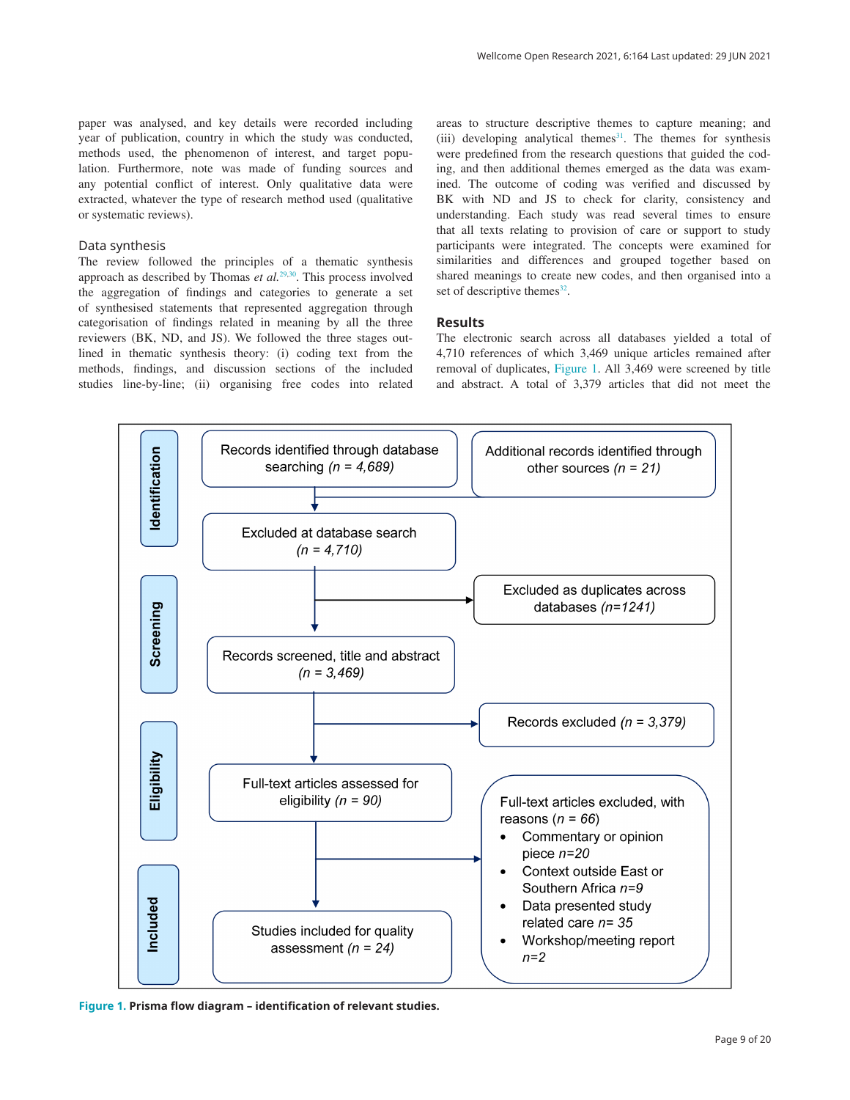paper was analysed, and key details were recorded including year of publication, country in which the study was conducted, methods used, the phenomenon of interest, and target population. Furthermore, note was made of funding sources and any potential conflict of interest. Only qualitative data were extracted, whatever the type of research method used (qualitative or systematic reviews).

#### Data synthesis

The review followed the principles of a thematic synthesis approach as described by Thomas *et al.*[29,30](#page-18-0). This process involved the aggregation of findings and categories to generate a set of synthesised statements that represented aggregation through categorisation of findings related in meaning by all the three reviewers (BK, ND, and JS). We followed the three stages outlined in thematic synthesis theory: (i) coding text from the methods, findings, and discussion sections of the included studies line-by-line; (ii) organising free codes into related

areas to structure descriptive themes to capture meaning; and  $(iii)$  developing analytical themes<sup>[31](#page-18-0)</sup>. The themes for synthesis were predefined from the research questions that guided the coding, and then additional themes emerged as the data was examined. The outcome of coding was verified and discussed by BK with ND and JS to check for clarity, consistency and understanding. Each study was read several times to ensure that all texts relating to provision of care or support to study participants were integrated. The concepts were examined for similarities and differences and grouped together based on shared meanings to create new codes, and then organised into a set of descriptive themes $32$ .

### **Results**

The electronic search across all databases yielded a total of 4,710 references of which 3,469 unique articles remained after removal of duplicates, Figure 1. All 3,469 were screened by title and abstract. A total of 3,379 articles that did not meet the



**Figure 1. Prisma flow diagram – identification of relevant studies.**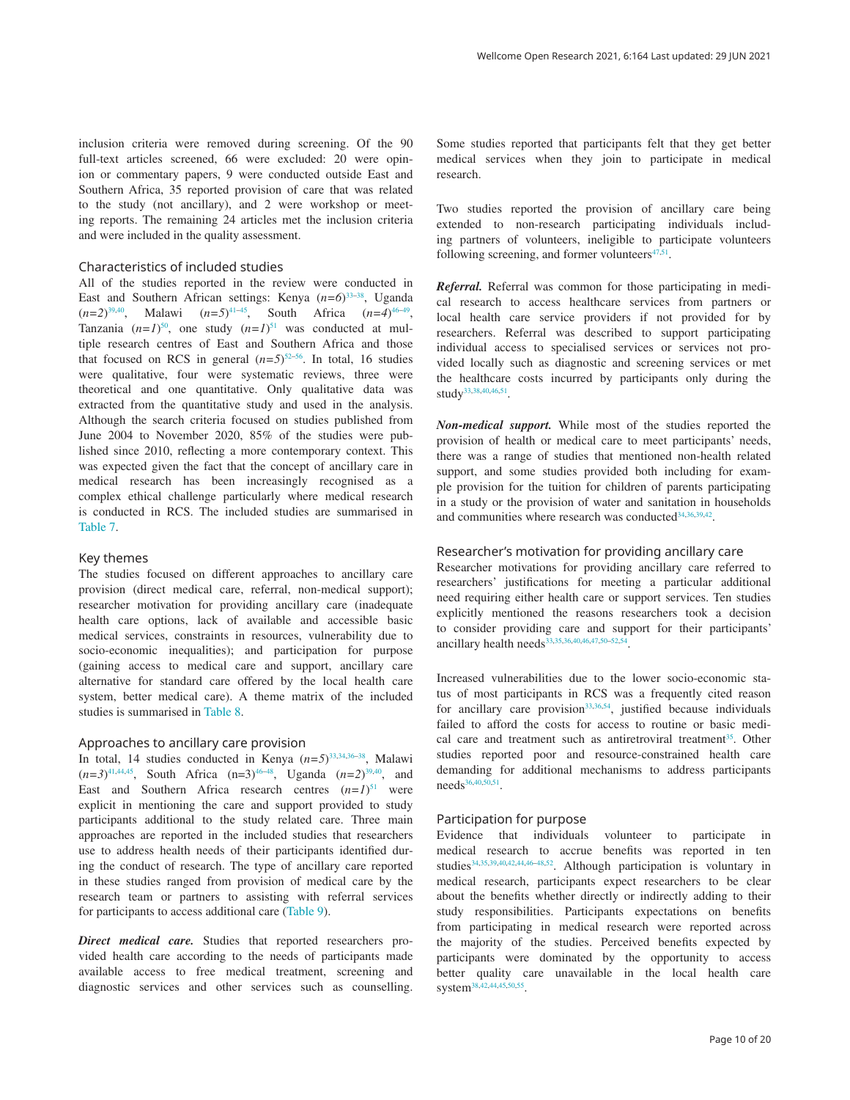inclusion criteria were removed during screening. Of the 90 full-text articles screened, 66 were excluded: 20 were opinion or commentary papers, 9 were conducted outside East and Southern Africa, 35 reported provision of care that was related to the study (not ancillary), and 2 were workshop or meeting reports. The remaining 24 articles met the inclusion criteria and were included in the quality assessment.

#### Characteristics of included studies

All of the studies reported in the review were conducted in East and Southern African settings: Kenya (*n*=6)<sup>33-38</sup>, Uganda  $(n=2)^{39,40}$ , Malawi  $(n=5)^{41-45}$ , South Africa  $(n=4)^{46-49}$ , Tanzania  $(n=1)^{50}$  $(n=1)^{50}$  $(n=1)^{50}$ , one study  $(n=1)^{51}$  $(n=1)^{51}$  $(n=1)^{51}$  was conducted at multiple research centres of East and Southern Africa and those that focused on RCS in general  $(n=5)^{52-56}$ . In total, 16 studies were qualitative, four were systematic reviews, three were theoretical and one quantitative. Only qualitative data was extracted from the quantitative study and used in the analysis. Although the search criteria focused on studies published from June 2004 to November 2020, 85% of the studies were published since 2010, reflecting a more contemporary context. This was expected given the fact that the concept of ancillary care in medical research has been increasingly recognised as a complex ethical challenge particularly where medical research is conducted in RCS. The included studies are summarised in [Table 7](#page-10-0).

#### Key themes

The studies focused on different approaches to ancillary care provision (direct medical care, referral, non-medical support); researcher motivation for providing ancillary care (inadequate health care options, lack of available and accessible basic medical services, constraints in resources, vulnerability due to socio-economic inequalities); and participation for purpose (gaining access to medical care and support, ancillary care alternative for standard care offered by the local health care system, better medical care). A theme matrix of the included studies is summarised in [Table 8.](#page-13-0)

#### Approaches to ancillary care provision

In total, 14 studies conducted in Kenya  $(n=5)^{33,34,36-38}$ , Malawi  $(n=3)^{41,44,45}$  $(n=3)^{41,44,45}$  $(n=3)^{41,44,45}$ , South Africa  $(n=3)^{46-48}$ , Uganda  $(n=2)^{39,40}$ , and East and Southern Africa research centres  $(n=1)^{51}$  $(n=1)^{51}$  $(n=1)^{51}$  were explicit in mentioning the care and support provided to study participants additional to the study related care. Three main approaches are reported in the included studies that researchers use to address health needs of their participants identified during the conduct of research. The type of ancillary care reported in these studies ranged from provision of medical care by the research team or partners to assisting with referral services for participants to access additional care ([Table 9](#page-14-0)).

*Direct medical care.* Studies that reported researchers provided health care according to the needs of participants made available access to free medical treatment, screening and diagnostic services and other services such as counselling.

Some studies reported that participants felt that they get better medical services when they join to participate in medical research.

Two studies reported the provision of ancillary care being extended to non-research participating individuals including partners of volunteers, ineligible to participate volunteers following screening, and former volunteers $47,51$ .

*Referral.* Referral was common for those participating in medical research to access healthcare services from partners or local health care service providers if not provided for by researchers. Referral was described to support participating individual access to specialised services or services not provided locally such as diagnostic and screening services or met the healthcare costs incurred by participants only during the study<sup>33,38,40,46,51</sup>.

*Non-medical support.* While most of the studies reported the provision of health or medical care to meet participants' needs, there was a range of studies that mentioned non-health related support, and some studies provided both including for example provision for the tuition for children of parents participating in a study or the provision of water and sanitation in households and communities where research was conducted<sup>34,36,39,42</sup>.

## Researcher's motivation for providing ancillary care

Researcher motivations for providing ancillary care referred to researchers' justifications for meeting a particular additional need requiring either health care or support services. Ten studies explicitly mentioned the reasons researchers took a decision to consider providing care and support for their participants' ancillary health needs<sup>33,35,36,40,46,47,50-52,54</sup>.

Increased vulnerabilities due to the lower socio-economic status of most participants in RCS was a frequently cited reason for ancillary care provision<sup>[33,36](#page-18-0),[54](#page-19-0)</sup>, justified because individuals failed to afford the costs for access to routine or basic medical care and treatment such as antiretroviral treatment<sup>35</sup>. Other studies reported poor and resource-constrained health care demanding for additional mechanisms to address participants needs<sup>36,40,50,51</sup>.

#### Participation for purpose

Evidence that individuals volunteer to participate in medical research to accrue benefits was reported in ten studies<sup>[34,35,39,40,42,44,46–48,](#page-18-0)[52](#page-19-0)</sup>. Although participation is voluntary in medical research, participants expect researchers to be clear about the benefits whether directly or indirectly adding to their study responsibilities. Participants expectations on benefits from participating in medical research were reported across the majority of the studies. Perceived benefits expected by participants were dominated by the opportunity to access better quality care unavailable in the local health care system<sup>[38,42,44,45,](#page-18-0)[50,55](#page-19-0)</sup>.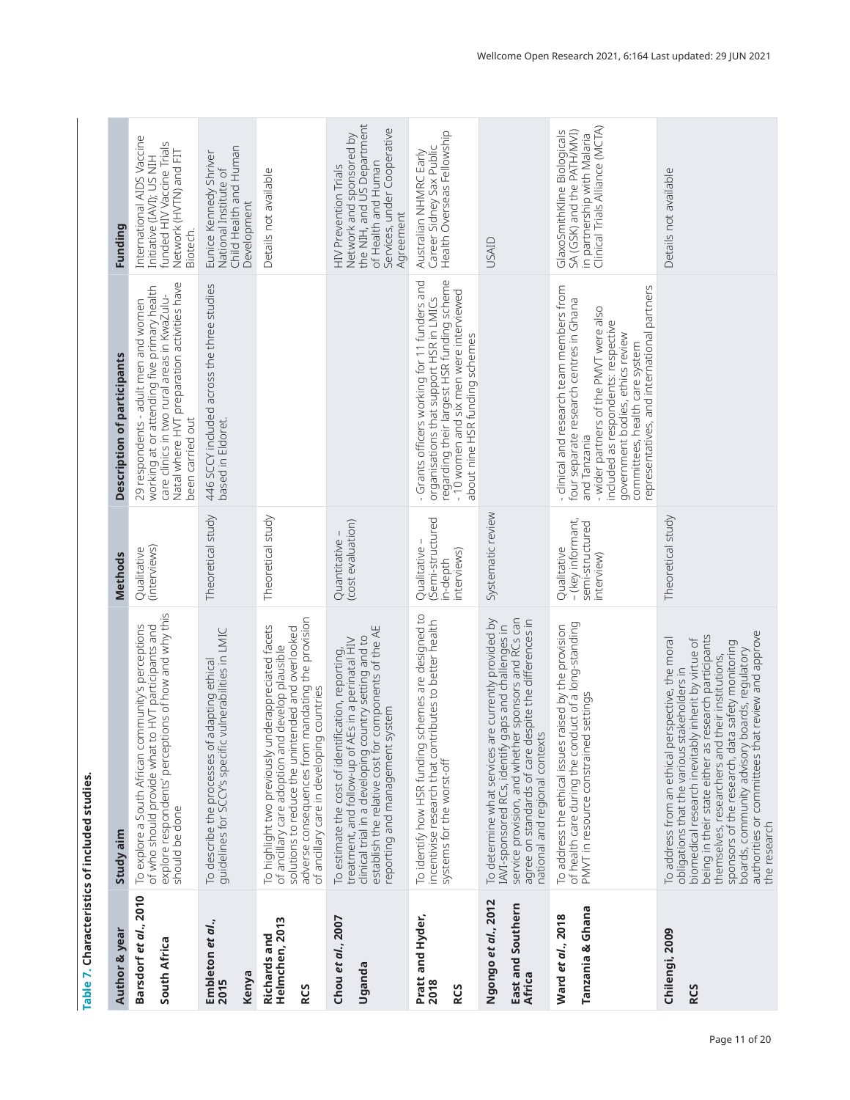<span id="page-10-0"></span>

|                                                     | Table 7. Characteristics of included studies.                                                                                                                                                                                                                                                                                                                                                                                                    |                                                                   |                                                                                                                                                                                                                                                                                                            |                                                                                                                                                    |
|-----------------------------------------------------|--------------------------------------------------------------------------------------------------------------------------------------------------------------------------------------------------------------------------------------------------------------------------------------------------------------------------------------------------------------------------------------------------------------------------------------------------|-------------------------------------------------------------------|------------------------------------------------------------------------------------------------------------------------------------------------------------------------------------------------------------------------------------------------------------------------------------------------------------|----------------------------------------------------------------------------------------------------------------------------------------------------|
| Author & year                                       | Study aim                                                                                                                                                                                                                                                                                                                                                                                                                                        | <b>Methods</b>                                                    | <b>Description of participants</b>                                                                                                                                                                                                                                                                         | Funding                                                                                                                                            |
| Barsdorf et al., 2010<br>South Africa               | explore respondents' perceptions of how and why this<br>To explore a South African community's perceptions<br>of who should provide what to HVT participants and<br>should be done                                                                                                                                                                                                                                                               | (interviews)<br>Qualitative                                       | Natal where HVT preparation activities have<br>working at or attending five primary health<br>care clinics in two rural areas in KwaZulu-<br>29 respondents - adult men and women<br>been carried out                                                                                                      | International AIDS Vaccine<br>funded HIV Vaccine Trials<br>Network (HVTN) and FIT<br>Initiative (IAVI); US NIH<br>Biotech.                         |
| Embleton <i>et al.</i> ,<br>2015<br>Kenya           | adapting ethical<br>vulnerabilities in LMIC<br>To describe the processes of .<br>guidelines for SCCY's specific                                                                                                                                                                                                                                                                                                                                  | Theoretical study                                                 | 446 SCCY included across the three studies<br>based in Eldoret.                                                                                                                                                                                                                                            | Child Health and Human<br>Eunice Kennedy Shriver<br>National Institute of<br>Development                                                           |
| Helmchen, 2013<br><b>Richards and</b><br><b>RCS</b> | adverse consequences from mandating the provision<br>To highlight two previously underappreciated facets<br>solutions to reduce the unintended and overlooked<br>develop plausible<br>countries<br>of ancillary care adoption and<br>of ancillary care in developing                                                                                                                                                                             | Theoretical study                                                 |                                                                                                                                                                                                                                                                                                            | Details not available                                                                                                                              |
| Chou et al., 2007<br>Uganda                         | clinical trial in a developing country setting and to<br>establish the relative cost for components of the AE<br>treatment, and follow-up of AEs in a perinatal HIV<br>To estimate the cost of identification, reporting,<br>reporting and management system                                                                                                                                                                                     | Quantitative –<br>(cost evaluation)                               |                                                                                                                                                                                                                                                                                                            | Network and sponsored by<br>the NIH, and US Department<br>Services, under Cooperative<br>of Health and Human<br>HIV Prevention Trials<br>Agreement |
| Pratt and Hyder,<br>2018<br><b>RCS</b>              | To identify how HSR funding schemes are designed to<br>incentivise research that contributes to better health<br>systems for the worst-off                                                                                                                                                                                                                                                                                                       | Qualitative –<br>(Semi-structured<br>interviews)<br>in-depth      | regarding their largest HSR funding scheme<br>- Grants officers working for 11 funders and<br>- 10 women and six men were interviewed<br>organisations that support HSR in LMICs<br>about nine HSR funding schemes                                                                                         | Health Overseas Fellowship<br>Career Sidney Sax Public<br>Australian NHMRC Early                                                                   |
| Ngongo et al., 2012<br>East and Southern<br>Africa  | service provision, and whether sponsors and RCs can<br>agree on standards of care despite the differences in<br>national and regional contexts<br>To determine what services are currently provided by<br>IAVI-sponsored RCs, identify gaps and challenges in                                                                                                                                                                                    | Systematic review                                                 |                                                                                                                                                                                                                                                                                                            | <b>USAID</b>                                                                                                                                       |
| Tanzania & Ghana<br>Ward et al., 2018               | of health care during the conduct of a long-standing<br>raised by the provision<br>PMVT in resource constrained settings<br>To address the ethical issues                                                                                                                                                                                                                                                                                        | - (key informant,<br>semi-structured<br>Qualitative<br>interview) | - clinical and research team members from<br>representatives, and international partners<br>four separate research centres in Ghana<br>- wider partners of the PMVT were also<br>included as respondents: respective<br>government bodies, ethics review<br>committees, health care system<br>and Tanzania | Clinical Trials Alliance (MCTA)<br>GlaxoSmithKline Biologicals<br>SA (GSK) and the PATH/MVI)<br>in partnership with Malaria                        |
| Chilengi, 2009<br><b>RCS</b>                        | authorities or committees that review and approve<br>being in their state either as research participants<br>To address from an ethical perspective, the moral<br>biomedical research inevitably inherit by virtue of<br>sponsors of the research, data safety monitoring<br>boards, community advisory boards, regulatory<br>their institutions,<br>obligations that the various stakeholders in<br>themselves, researchers and<br>the research | Theoretical study                                                 |                                                                                                                                                                                                                                                                                                            | Details not available                                                                                                                              |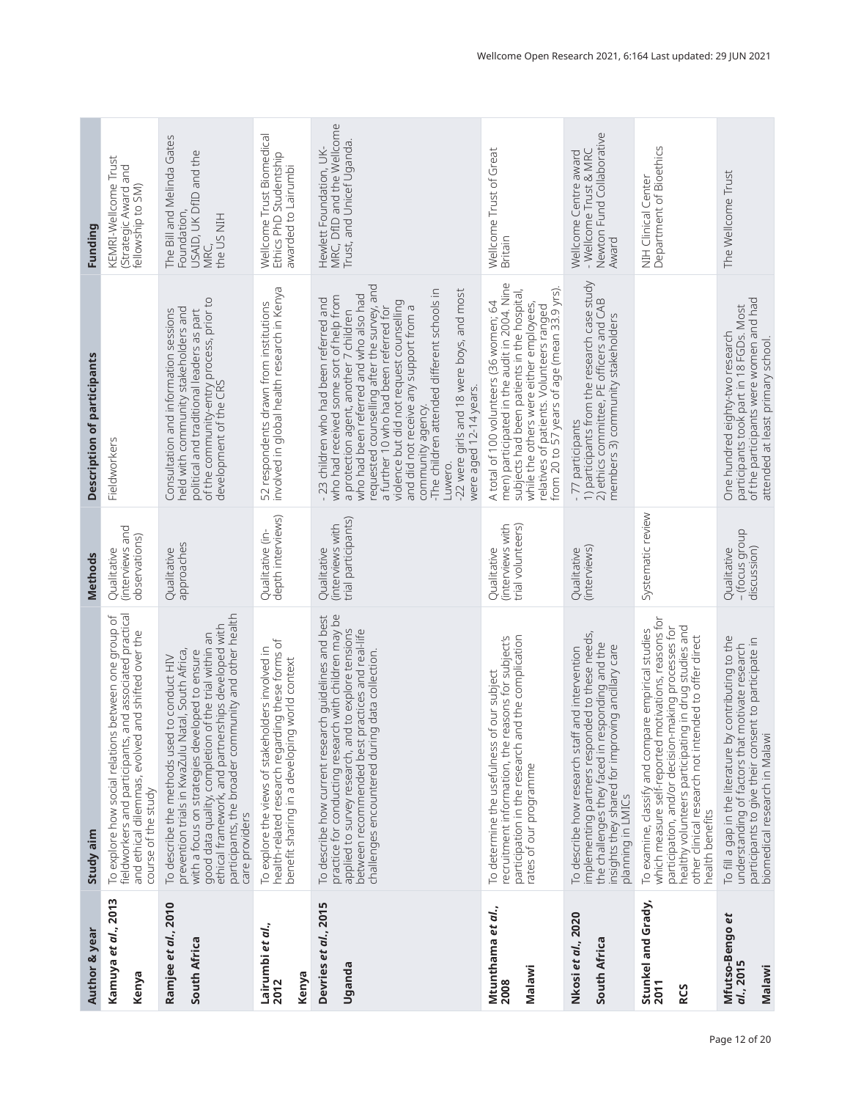| Author & year                            | Study aim                                                                                                                                                                                                                                                                                                                                  | Methods                                                | <b>Description of participants</b>                                                                                                                                                                                                                                                                                                                                                                                                                                                                          | Funding                                                                                   |
|------------------------------------------|--------------------------------------------------------------------------------------------------------------------------------------------------------------------------------------------------------------------------------------------------------------------------------------------------------------------------------------------|--------------------------------------------------------|-------------------------------------------------------------------------------------------------------------------------------------------------------------------------------------------------------------------------------------------------------------------------------------------------------------------------------------------------------------------------------------------------------------------------------------------------------------------------------------------------------------|-------------------------------------------------------------------------------------------|
| Kamuya et al., 2013<br>Kenya             | and associated practical<br>To explore how social relations between one group of<br>and shifted over the<br>fieldworkers and participants,<br>and ethical dilemmas, evolved<br>course of the study                                                                                                                                         | (interviews and<br>observations)<br>Qualitative        | Fieldworkers                                                                                                                                                                                                                                                                                                                                                                                                                                                                                                | KEMRI-Wellcome Trust<br>Strategic Award and<br>fellowship to SM)                          |
| Ramjee et al., 2010<br>South Africa      | participants, the broader community and other health<br>ethical framework, and partnerships developed with<br>good data quality, completion of the trial within an<br>prevention trials in KwaZulu Natal, South Africa,<br>with a focus on strategies developed to ensure<br>To describe the methods used to conduct HIV<br>care providers | approaches<br>Qualitative                              | of the community-entry process, prior to<br>development of the CRS<br>held with community stakeholders and<br>Consultation and information sessions<br>political and traditional leaders as part                                                                                                                                                                                                                                                                                                            | The Bill and Melinda Gates<br>USAID, UK DfID and the<br>Foundation,<br>the US NIH<br>MRC, |
| Lairumbi et al.,<br>Kenya<br>2012        | health-related research regarding these forms of<br>To explore the views of stakeholders involved in<br>benefit sharing in a developing world context                                                                                                                                                                                      | depth interviews)<br>Qualitative (in-                  | 52 respondents drawn from institutions<br>involved in global health research in Kenya                                                                                                                                                                                                                                                                                                                                                                                                                       | Wellcome Trust Biomedical<br>Ethics PhD Studentship<br>awarded to Lairumbi                |
| Devries et al., 2015<br>Uganda           | To describe how current research guidelines and best<br>practice for conducting research with children may be<br>applied to survey research, and to explore tensions<br>practices and real-life<br>challenges encountered during data collection.<br>between recommended best                                                              | trial participants)<br>(interviews with<br>Qualitative | requested counselling after the survey, and<br>a further 10 who had been referred for<br>-The children attended different schools in<br>-22 were girls and 18 were boys, and most<br>were aged 12-14 years.<br>who had been referred and who also had<br>who had received some sort of help from<br>- 23 children who had been referred and<br>violence but did not request counselling<br>and did not receive any support from a<br>a protection agent, another 7 children<br>community agency.<br>Luwero. | MRC, DfID and the Wellcome<br>Trust, and Unicef Uganda.<br>Hewlett Foundation, UK-        |
| Mtunthama et al.,<br>Malawi<br>2008      | participation in the research and the complication<br>recruitment information, the reasons for subject's<br>To determine the usefulness of our subject<br>rates of our programme                                                                                                                                                           | (interviews with<br>trial volunteers)<br>Qualitative   | men) participated in the audit in 2004. Nine<br>relatives of patients. Volunteers ranged<br>from 20 to 57 years of age (mean 33.9 yrs).<br>subjects had been patients in the hospital,<br>A total of 100 volunteers (36 women; 64<br>while the others were either employees,                                                                                                                                                                                                                                | Wellcome Trust of Great<br>Britain                                                        |
| Nkosi et al., 2020<br>South Africa       | implementing partners responded to these needs,<br>the challenges they faced in responding and the<br>insights they shared for improving ancillary care<br>To describe how research staff and intervention<br>planning in LMICs                                                                                                            | (interviews)<br>Qualitative                            | 1) participants from the research case study<br>2) ethics committee, PE officers and CAB<br>members 3) community stakeholders<br>- 77 participants                                                                                                                                                                                                                                                                                                                                                          | Newton Fund Collaborative<br>- Wellcome Trust & MRC<br>Wellcome Centre award<br>Award     |
| Stunkel and Grady,<br>2011<br><b>RCS</b> | motivations, reasons for<br>healthy volunteers participating in drug studies and<br>other clinical research not intended to offer direct<br>participation, and/or decision-making processes for<br>To examine, classify and compare empirical studies<br>which measure self-reported<br>health benefits                                    | Systematic review                                      |                                                                                                                                                                                                                                                                                                                                                                                                                                                                                                             | Department of Bioethics<br>NIH Clinical Center                                            |
| Mfutso-Bengo et<br>al., 2015<br>Malawi   | To fill a gap in the literature by contributing to the<br>participants to give their consent to participate in<br>understanding of factors that motivate research<br>biomedical research in Malaw                                                                                                                                          | - (focus group<br>discussion)<br>Qualitative           | of the participants were women and had<br>participants took part in 18 FGDs. Most<br>One hundred eighty-two research<br>attended at least primary school.                                                                                                                                                                                                                                                                                                                                                   | The Wellcome Trust                                                                        |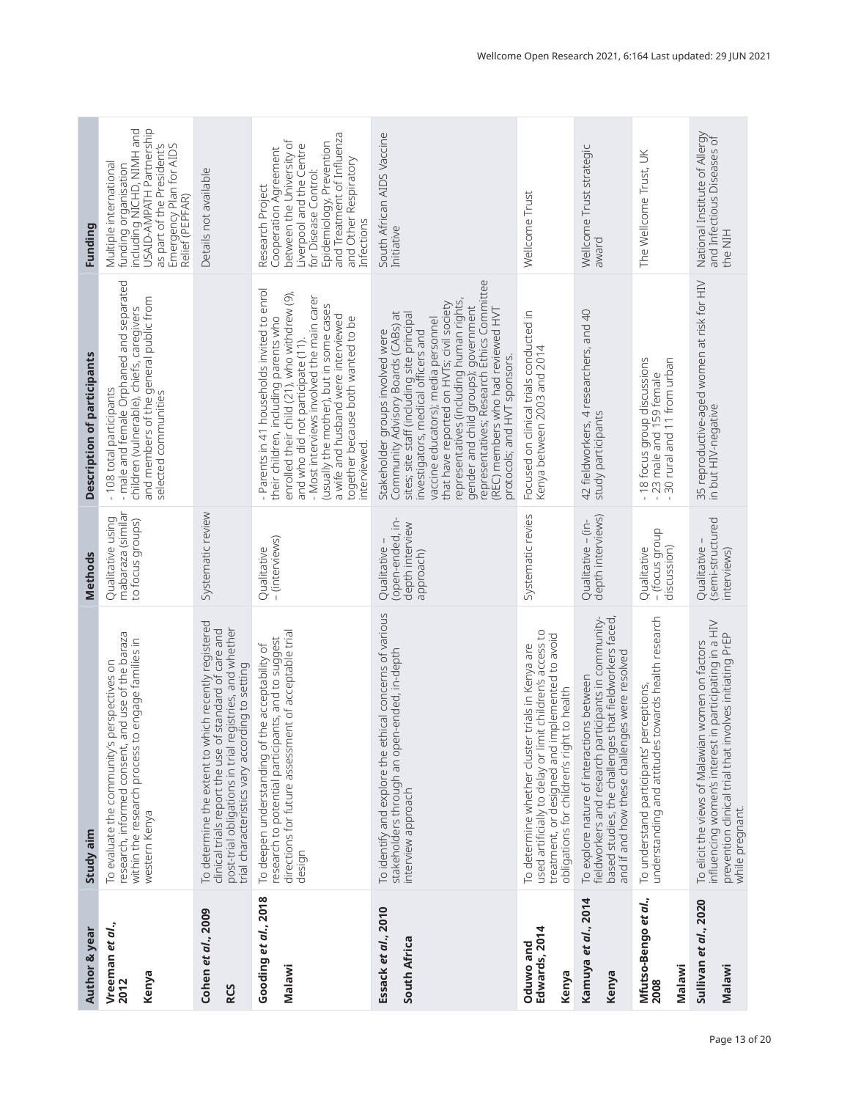| Author & year                          | Study aim                                                                                                                                                                                                                    | <b>Methods</b>                                                    | Description of participants                                                                                                                                                                                                                                                                                                                                                                                                                               | Funding                                                                                                                                                                                                                     |
|----------------------------------------|------------------------------------------------------------------------------------------------------------------------------------------------------------------------------------------------------------------------------|-------------------------------------------------------------------|-----------------------------------------------------------------------------------------------------------------------------------------------------------------------------------------------------------------------------------------------------------------------------------------------------------------------------------------------------------------------------------------------------------------------------------------------------------|-----------------------------------------------------------------------------------------------------------------------------------------------------------------------------------------------------------------------------|
| Vreeman et al.,<br>Kenya<br>2012       | research, informed consent, and use of the baraza<br>within the research process to engage families in<br>To evaluate the community's perspectives on<br>western Kenya                                                       | mabaraza (similar<br>Qualitative using<br>to focus groups)        | - male and female Orphaned and separated<br>and members of the general public from<br>children (vulnerable), chiefs, caregivers<br>-108 total participants<br>selected communities                                                                                                                                                                                                                                                                        | funding organisation<br>including NICHD, NIMH and<br>USAID-AMPATH Partnership<br>as part of the President's<br>Emergency Plan for AIDS<br>Multiple international<br>Relief (PEPFAR)                                         |
| Cohen et al., 2009<br><b>RCS</b>       | To determine the extent to which recently registered<br>post-trial obligations in trial registries, and whether<br>clinical trials report the use of standard of care and<br>trial characteristics vary according to setting | Systematic review                                                 |                                                                                                                                                                                                                                                                                                                                                                                                                                                           | Details not available                                                                                                                                                                                                       |
| Gooding et al., 2018<br>Malawi         | research to potential participants, and to suggest<br>directions for future assessment of acceptable trial<br>To deepen understanding of the acceptability of<br>design                                                      | - (interviews)<br>Qualitative                                     | - Parents in 41 households invited to enrol<br>their children, including parents who<br>enrolled their child (21), who withdrew (9),<br>- Most interviews involved the main carer<br>(usually the mother), but in some cases<br>a wife and husband were interviewed<br>together because both wanted to be<br>and who did not participate (11).<br>interviewed.                                                                                            | and Treatment of Influenza<br>between the University of<br>Epidemiology, Prevention<br>Liverpool and the Centre<br>Cooperation Agreement<br>and Other Respiratory<br>for Disease Control:<br>Research Project<br>Infections |
| Essack et al., 2010<br>South Africa    | To identify and explore the ethical concerns of various<br>stakeholders through an open-ended, in-depth<br>interview approach                                                                                                | (open-ended, in-<br>depth interview<br>Qualitative -<br>approach) | representatives; Research Ethics Committee<br>representatives (including human rights,<br>that have reported on HVTs; civil society<br>gender and child groups); government<br>(REC) members who had reviewed HVT<br>Community Advisory Boards (CABs) at<br>sites; site staff (including site principal<br>vaccine educators); media personnel<br>investigators, medical officers and<br>Stakeholder groups involved were<br>protocols; and HVT sponsors. | South African AIDS Vaccine<br>Initiative                                                                                                                                                                                    |
| Edwards, 2014<br>Oduwo and<br>Kenya    | used artificially to delay or limit children's access to<br>treatment, or designed and implemented to avoid<br>To determine whether cluster trials in Kenya are<br>to health<br>obligations for children's right             | Systematic revies                                                 | Focused on clinical trials conducted in<br>Kenya between 2003 and 2014                                                                                                                                                                                                                                                                                                                                                                                    | Wellcome Trust                                                                                                                                                                                                              |
| Kamuya <i>et al.</i> , 2014<br>Kenya   | based studies, the challenges that fieldworkers faced,<br>fieldworkers and research participants in community-<br>and if and how these challenges were resolved<br>To explore nature of interactions between                 | depth interviews)<br>Qualitative - (in-                           | 42 fieldworkers, 4 researchers, and 40<br>study participants                                                                                                                                                                                                                                                                                                                                                                                              | Wellcome Trust strategic<br>award                                                                                                                                                                                           |
| Mfutso-Bengo et al.,<br>Malawi<br>2008 | understanding and attitudes towards health research<br>To understand participants' perceptions,                                                                                                                              | - (focus group<br>discussion)<br>Qualitative                      | -18 focus group discussions<br>- 23 male and 159 female<br>- 30 rural and 11 from urban                                                                                                                                                                                                                                                                                                                                                                   | The Wellcome Trust, UK                                                                                                                                                                                                      |
| Sullivan et al., 2020<br>Malawi        | influencing women's interest in participating in a HIV<br>prevention clinical trial that involves initiating PrEP<br>while pregnant.<br>women on factors<br>To elicit the views of Malawian                                  | (semi-structured<br>Qualitative -<br>interviews)                  | 35 reproductive-aged women at risk for HIV<br>in but HIV-negative                                                                                                                                                                                                                                                                                                                                                                                         | National Institute of Allergy<br>and Infectious Diseases of<br>the NIH                                                                                                                                                      |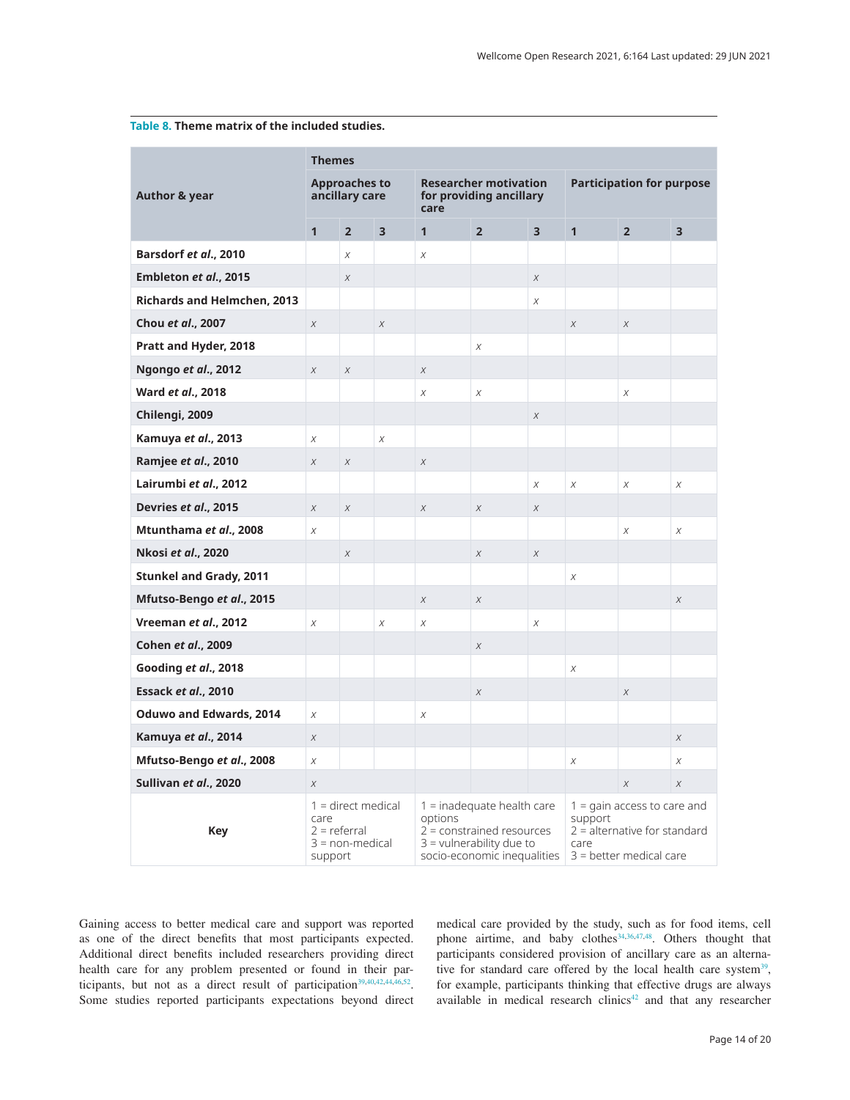|                                    | <b>Themes</b>                     |                                           |                         |              |                                                                                                                          |                |                 |                                                                                              |                         |
|------------------------------------|-----------------------------------|-------------------------------------------|-------------------------|--------------|--------------------------------------------------------------------------------------------------------------------------|----------------|-----------------|----------------------------------------------------------------------------------------------|-------------------------|
| <b>Author &amp; year</b>           |                                   | <b>Approaches to</b><br>ancillary care    |                         | care         | <b>Researcher motivation</b><br>for providing ancillary                                                                  |                |                 | <b>Participation for purpose</b>                                                             |                         |
|                                    | $\mathbf{1}$                      | $\overline{2}$                            | $\overline{\mathbf{3}}$ | $\mathbf{1}$ | $\overline{2}$                                                                                                           | $\overline{3}$ | $\overline{1}$  | $\overline{2}$                                                                               | $\overline{\mathbf{3}}$ |
| Barsdorf et al., 2010              |                                   | Χ                                         |                         | Χ            |                                                                                                                          |                |                 |                                                                                              |                         |
| Embleton et al., 2015              |                                   | $\chi$                                    |                         |              |                                                                                                                          | $\chi$         |                 |                                                                                              |                         |
| <b>Richards and Helmchen, 2013</b> |                                   |                                           |                         |              |                                                                                                                          | $\chi$         |                 |                                                                                              |                         |
| Chou et al., 2007                  | $\chi$                            |                                           | $\chi$                  |              |                                                                                                                          |                | $\chi$          | $\chi$                                                                                       |                         |
| Pratt and Hyder, 2018              |                                   |                                           |                         |              | $\chi$                                                                                                                   |                |                 |                                                                                              |                         |
| Ngongo et al., 2012                | $\chi$                            | $\chi$                                    |                         | $\chi$       |                                                                                                                          |                |                 |                                                                                              |                         |
| Ward et al., 2018                  |                                   |                                           |                         | X            | $\chi$                                                                                                                   |                |                 | X                                                                                            |                         |
| Chilengi, 2009                     |                                   |                                           |                         |              |                                                                                                                          | $\chi$         |                 |                                                                                              |                         |
| Kamuya et al., 2013                | Χ                                 |                                           | $\chi$                  |              |                                                                                                                          |                |                 |                                                                                              |                         |
| Ramjee et al., 2010                | $\chi$                            | $\chi$                                    |                         | $\chi$       |                                                                                                                          |                |                 |                                                                                              |                         |
| Lairumbi et al., 2012              |                                   |                                           |                         |              |                                                                                                                          | $\chi$         | $\chi$          | $\chi$                                                                                       | $\chi$                  |
| Devries et al., 2015               | $\chi$                            | $\chi$                                    |                         | $\chi$       | $\chi$                                                                                                                   | $\chi$         |                 |                                                                                              |                         |
| Mtunthama et al., 2008             | X                                 |                                           |                         |              |                                                                                                                          |                |                 | X                                                                                            | Χ                       |
| Nkosi et al., 2020                 |                                   | $\chi$                                    |                         |              | $\boldsymbol{X}$                                                                                                         | $\chi$         |                 |                                                                                              |                         |
| <b>Stunkel and Grady, 2011</b>     |                                   |                                           |                         |              |                                                                                                                          |                | Χ               |                                                                                              |                         |
| Mfutso-Bengo et al., 2015          |                                   |                                           |                         | $\chi$       | $\chi$                                                                                                                   |                |                 |                                                                                              | $\chi$                  |
| Vreeman et al., 2012               | $\chi$                            |                                           | $\chi$                  | Χ            |                                                                                                                          | $\chi$         |                 |                                                                                              |                         |
| Cohen et al., 2009                 |                                   |                                           |                         |              | $\boldsymbol{X}$                                                                                                         |                |                 |                                                                                              |                         |
| Gooding et al., 2018               |                                   |                                           |                         |              |                                                                                                                          |                | X               |                                                                                              |                         |
| Essack et al., 2010                |                                   |                                           |                         |              | $\chi$                                                                                                                   |                |                 | $\chi$                                                                                       |                         |
| <b>Oduwo and Edwards, 2014</b>     | $\chi$                            |                                           |                         | X            |                                                                                                                          |                |                 |                                                                                              |                         |
| Kamuya <i>et al.</i> , 2014        | $\chi$                            |                                           |                         |              |                                                                                                                          |                |                 |                                                                                              | $\chi$                  |
| Mfutso-Bengo et al., 2008          | $\chi$                            |                                           |                         |              |                                                                                                                          |                | $\chi$          |                                                                                              | X                       |
| Sullivan et al., 2020              | $\chi$                            |                                           |                         |              |                                                                                                                          |                |                 | $\chi$                                                                                       | $\chi$                  |
| <b>Key</b>                         | care<br>$2 =$ referral<br>support | $1 =$ direct medical<br>$3 = non-medical$ |                         | options      | $1 =$ inadequate health care<br>$2$ = constrained resources<br>$3$ = vulnerability due to<br>socio-economic inequalities |                | support<br>care | $1 =$ qain access to care and<br>$2$ = alternative for standard<br>$3$ = better medical care |                         |

## <span id="page-13-0"></span>**Table 8. Theme matrix of the included studies.**

Gaining access to better medical care and support was reported as one of the direct benefits that most participants expected. Additional direct benefits included researchers providing direct health care for any problem presented or found in their par-ticipants, but not as a direct result of participation<sup>[39,40,42,44,46,52](#page-18-0)</sup>. Some studies reported participants expectations beyond direct

medical care provided by the study, such as for food items, cell phone airtime, and baby clothes<sup>34,36,47,48</sup>. Others thought that participants considered provision of ancillary care as an alternative for standard care offered by the local health care system<sup>39</sup>, for example, participants thinking that effective drugs are always available in medical research clinics<sup>[42](#page-18-0)</sup> and that any researcher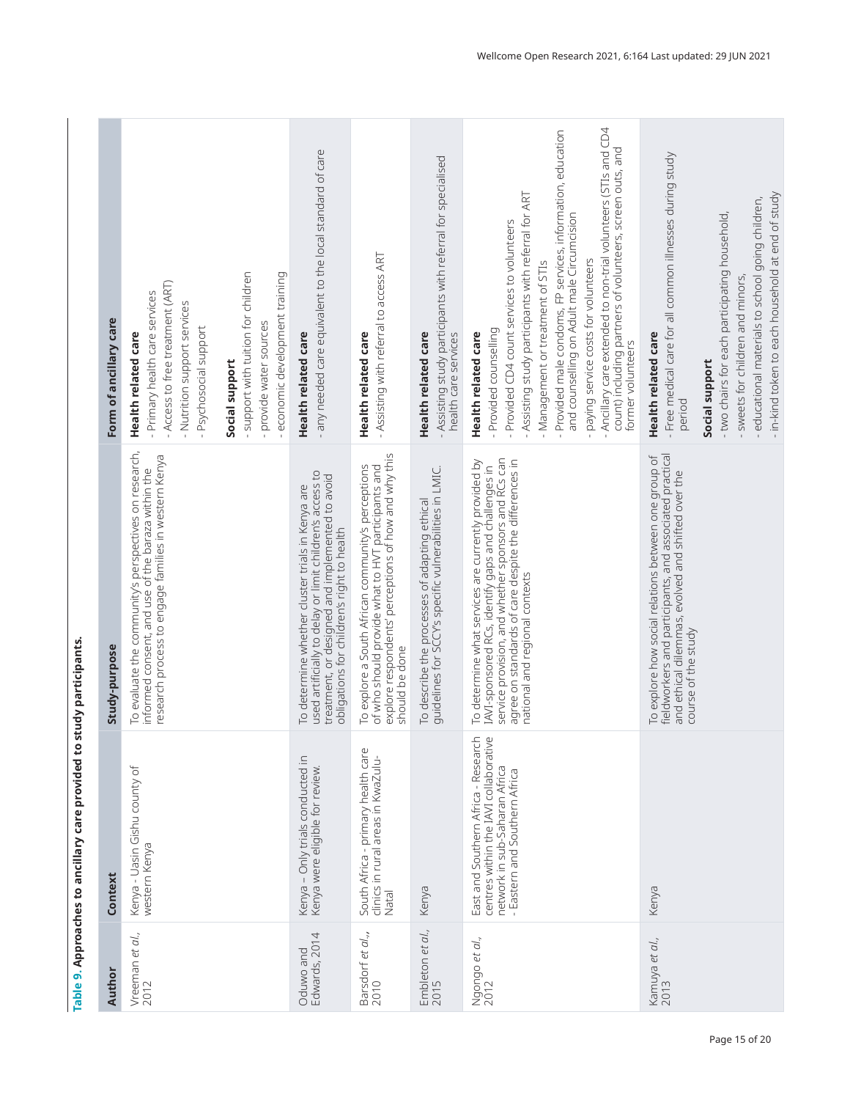<span id="page-14-0"></span>

| Author                           | Context                                                                                                                                        | Study-purpose                                                                                                                                                                                                                                                 | Form of ancillary care                                                                                                                                                                                                                                                                                                                                                                                                                                                                          |
|----------------------------------|------------------------------------------------------------------------------------------------------------------------------------------------|---------------------------------------------------------------------------------------------------------------------------------------------------------------------------------------------------------------------------------------------------------------|-------------------------------------------------------------------------------------------------------------------------------------------------------------------------------------------------------------------------------------------------------------------------------------------------------------------------------------------------------------------------------------------------------------------------------------------------------------------------------------------------|
| Vreeman et al.,<br>2012          | Kenya - Uasin Gishu county of<br>western Kenya                                                                                                 | To evaluate the community's perspectives on research,<br>research process to engage families in western Kenya<br>informed consent, and use of the baraza within the                                                                                           | - Access to free treatment (ART)<br>- Primary health care services<br>- Nutrition support services<br>- Psychosocial support<br>Health related care                                                                                                                                                                                                                                                                                                                                             |
|                                  |                                                                                                                                                |                                                                                                                                                                                                                                                               | - support with tuition for children<br>economic development training<br>- provide water sources<br>Social support                                                                                                                                                                                                                                                                                                                                                                               |
| Edwards, 2014<br>Oduwo and       | Kenya - Only trials conducted in<br>Kenya were eligible for review.                                                                            | used artificially to delay or limit children's access to<br>treatment, or designed and implemented to avoid<br>To determine whether cluster trials in Kenya are<br>obligations for children's right to health                                                 | - any needed care equivalent to the local standard of care<br>Health related care                                                                                                                                                                                                                                                                                                                                                                                                               |
| Barsdorf <i>et al.</i> "<br>2010 | South Africa - primary health care<br>clinics in rural areas in KwaZulu-<br>Natal                                                              | explore respondents' perceptions of how and why this<br>To explore a South African community's perceptions<br>of who should provide what to HVT participants and<br>should be done                                                                            | - Assisting with referral to access ART<br>Health related care                                                                                                                                                                                                                                                                                                                                                                                                                                  |
| Embleton <i>et al.</i> ,<br>2015 | Kenya                                                                                                                                          | To describe the processes of adapting ethical<br>guidelines for SCCY's specific vulnerabilities in LMIC.                                                                                                                                                      | - Assisting study participants with referral for specialised<br>Health related care<br>health care services                                                                                                                                                                                                                                                                                                                                                                                     |
| Ngongo et al.,<br>2012           | East and Southern Africa - Research<br>centres within the IAVI collaborative<br>network in sub-Saharan Africa<br>- Eastern and Southern Africa | IAVI-sponsored RCs, identify gaps and challenges in<br>service provision, and whether sponsors and RCs can<br>agree on standards of care despite the differences in<br>To determine what services are currently provided by<br>national and regional contexts | Ancillary care extended to non-trial volunteers (STIs and CD4<br>Provided male condoms, FP services, information, education<br>count) including partners of volunteers, screen outs, and<br>- Assisting study participants with referral for ART<br>and counselling on Adult male Circumcision<br>- Provided CD4 count services to volunteers<br>paying service costs for volunteers<br>- Management or treatment of STIs<br>- Provided counselling<br>Health related care<br>former volunteers |
| Kamuya et al.,<br>2013           | Kenya                                                                                                                                          | fieldworkers and participants, and associated practical<br>To explore how social relations between one group of<br>and ethical dilemmas, evolved and shifted over the<br>course of the study                                                                  | - Free medical care for all common illnesses during study<br>- in-kind token to each household at end of study<br>- educational materials to school going children,<br>- two chairs for each participating household,<br>- sweets for children and minors,<br>Health related care<br>Social support<br>period                                                                                                                                                                                   |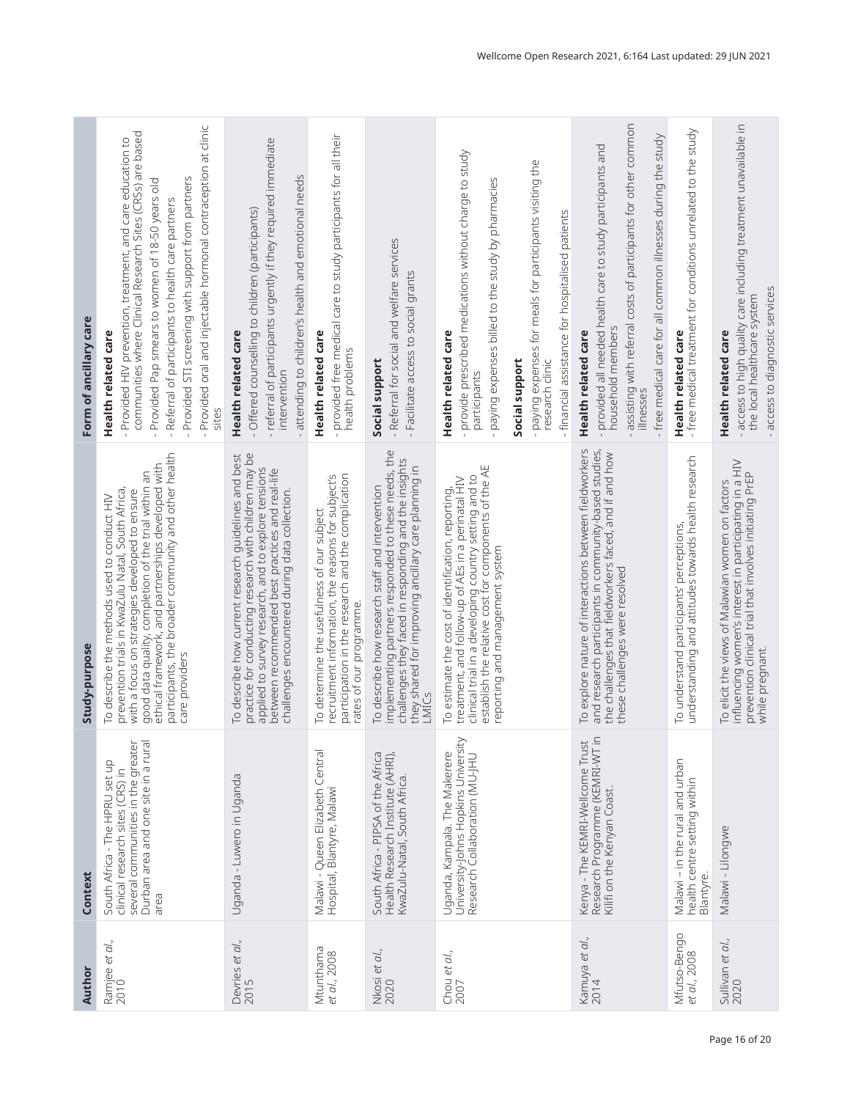|                        | Provided oral and injectable hormonal contraception at clinic<br>communities where Clinical Research Sites (CRSs) are based<br>- Provided HIV prevention, treatment, and care education to<br>Provided STI screening with support from partners<br>Provided Pap smears to women of 18-50 years old<br>Referral of participants to health care partners | - referral of participants urgently if they required immediate<br>attending to children's health and emotional needs<br>- Offered counselling to children (participants)                                                                                                   | provided free medical care to study participants for all their                                                                                                                    |                                                                                                                                                                                                                                 | - provide prescribed medications without charge to study<br>- paying expenses for meals for participants visiting the<br>paying expenses billed to the study by pharmacies<br>- financial assistance for hospitalised patients                               | - assisting with referral costs of participants for other common<br>free medical care for all common illnesses during the study<br>provided all needed health care to study participants and                | - free medical treatment for conditions unrelated to the study                                  | - access to high quality care including treatment unavailable in                                                                                                                         |
|------------------------|--------------------------------------------------------------------------------------------------------------------------------------------------------------------------------------------------------------------------------------------------------------------------------------------------------------------------------------------------------|----------------------------------------------------------------------------------------------------------------------------------------------------------------------------------------------------------------------------------------------------------------------------|-----------------------------------------------------------------------------------------------------------------------------------------------------------------------------------|---------------------------------------------------------------------------------------------------------------------------------------------------------------------------------------------------------------------------------|--------------------------------------------------------------------------------------------------------------------------------------------------------------------------------------------------------------------------------------------------------------|-------------------------------------------------------------------------------------------------------------------------------------------------------------------------------------------------------------|-------------------------------------------------------------------------------------------------|------------------------------------------------------------------------------------------------------------------------------------------------------------------------------------------|
| Form of ancillary care | Health related care<br>sites                                                                                                                                                                                                                                                                                                                           | Health related care<br>intervention                                                                                                                                                                                                                                        | Health related care<br>health problems                                                                                                                                            | - Referral for social and welfare services<br>- Facilitate access to social grants<br>Social support                                                                                                                            | Health related care<br>Social support<br>research clinic<br>participants                                                                                                                                                                                     | household members<br>Health related care<br>illnesses                                                                                                                                                       | Health related care                                                                             | - access to diagnostic services<br>the local healthcare system<br>Health related care                                                                                                    |
| Study-purpose          | participants, the broader community and other health<br>ethical framework, and partnerships developed with<br>good data quality, completion of the trial within an<br>prevention trials in KwaZulu Natal, South Africa,<br>with a focus on strategies developed to ensure<br>To describe the methods used to conduct HIV<br>care providers             | practice for conducting research with children may be<br>To describe how current research guidelines and best<br>applied to survey research, and to explore tensions<br>between recommended best practices and real-life<br>challenges encountered during data collection. | participation in the research and the complication<br>recruitment information, the reasons for subject's<br>To determine the usefulness of our subject<br>rates of our programme. | implementing partners responded to these needs, the<br>challenges they faced in responding and the insights<br>they shared for improving ancillary care planning in<br>To describe how research staff and intervention<br>LMICs | clinical trial in a developing country setting and to<br>establish the relative cost for components of the AE<br>treatment, and follow-up of AEs in a perinatal HIV<br>To estimate the cost of identification, reporting,<br>reporting and management system | To explore nature of interactions between fieldworkers<br>and research participants in community-based studies,<br>the challenges that fieldworkers faced, and if and how<br>these challenges were resolved | understanding and attitudes towards health research<br>To understand participants' perceptions, | influencing women's interest in participating in a HIV<br>prevention clinical trial that involves initiating PrEP<br>To elicit the views of Malawian women on factors<br>while pregnant. |
| Context                | Durban area and one site in a rural<br>several communities in the greater<br>South Africa - The HPRU set up<br>clinical research sites (CRS) in<br>area                                                                                                                                                                                                | Uganda - Luwero in Uganda                                                                                                                                                                                                                                                  | Malawi - Queen Elizabeth Central<br>Hospital, Blantyre, Malawi                                                                                                                    | South Africa - PIPSA of the Africa<br>Health Research Institute (AHRI),<br>KwaZulu-Natal, South Africa.                                                                                                                         | University-Johns Hopkins University<br>Research Collaboration (MU-JHU<br>Uganda, Kampala. The Makerere                                                                                                                                                       | Research Programme (KEMRI-WT in<br>Kilifi on the Kenyan Coast.<br>Kenya - The KEMRI-Wellcome Trust                                                                                                          | Malawi - in the rural and urban<br>health centre setting within<br>Blantyre.                    | Malawi - Lilongwe                                                                                                                                                                        |
| Author                 | Ramjee <i>et al.</i> ,<br>2010                                                                                                                                                                                                                                                                                                                         | Devries <i>et al.</i> ,<br>2015                                                                                                                                                                                                                                            | Mtunthama<br>et al., 2008                                                                                                                                                         | Nkosi et al.,<br>2020                                                                                                                                                                                                           | Chou et al.,<br>2007                                                                                                                                                                                                                                         | Kamuya et al.,<br>2014                                                                                                                                                                                      | Mfutso-Bengo<br>et al., 2008                                                                    | Sullivan et al.,<br>2020                                                                                                                                                                 |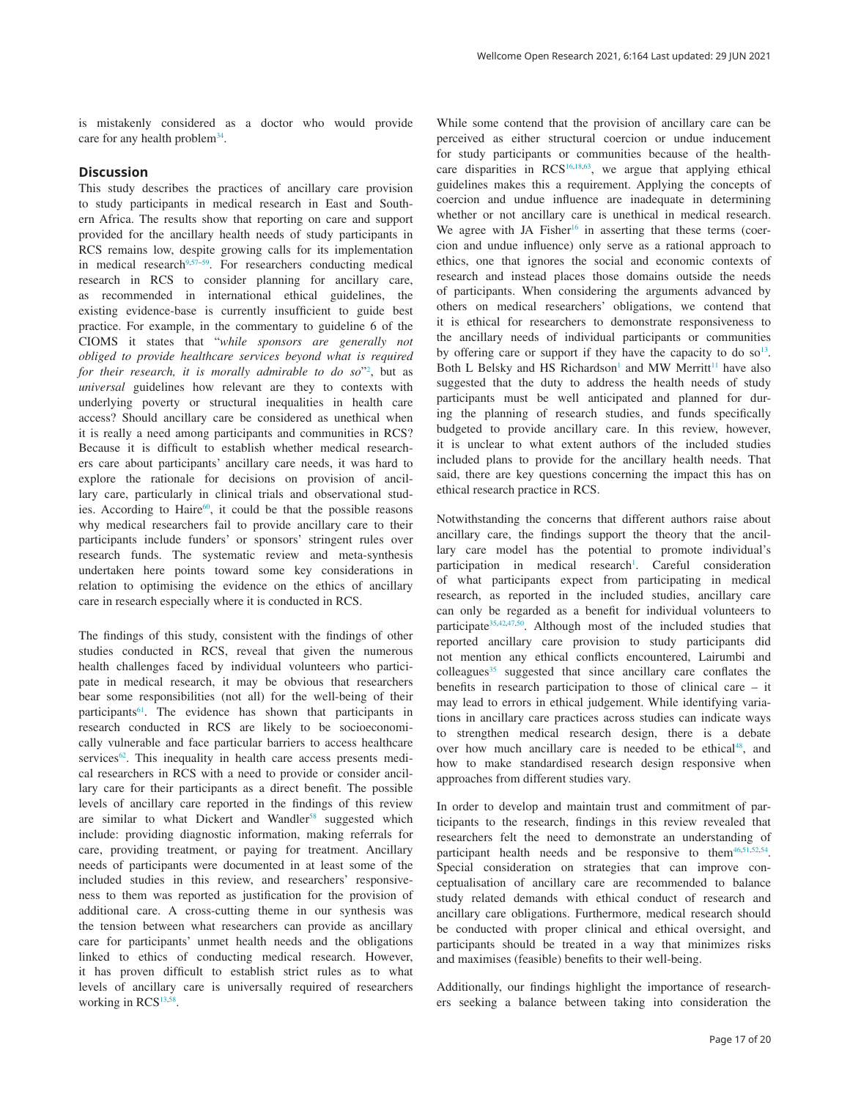is mistakenly considered as a doctor who would provide care for any health problem<sup>34</sup>.

### **Discussion**

This study describes the practices of ancillary care provision to study participants in medical research in East and Southern Africa. The results show that reporting on care and support provided for the ancillary health needs of study participants in RCS remains low, despite growing calls for its implementation in medical research $9,57-59$  $9,57-59$ . For researchers conducting medical research in RCS to consider planning for ancillary care, as recommended in international ethical guidelines, the existing evidence-base is currently insufficient to guide best practice. For example, in the commentary to guideline 6 of the CIOMS it states that "*while sponsors are generally not obliged to provide healthcare services beyond what is required for their research, it is morally admirable to do so*["2](#page-17-0) , but as *universal* guidelines how relevant are they to contexts with underlying poverty or structural inequalities in health care access? Should ancillary care be considered as unethical when it is really a need among participants and communities in RCS? Because it is difficult to establish whether medical researchers care about participants' ancillary care needs, it was hard to explore the rationale for decisions on provision of ancillary care, particularly in clinical trials and observational studies. According to Haire<sup>60</sup>, it could be that the possible reasons why medical researchers fail to provide ancillary care to their participants include funders' or sponsors' stringent rules over research funds. The systematic review and meta-synthesis undertaken here points toward some key considerations in relation to optimising the evidence on the ethics of ancillary care in research especially where it is conducted in RCS.

The findings of this study, consistent with the findings of other studies conducted in RCS, reveal that given the numerous health challenges faced by individual volunteers who participate in medical research, it may be obvious that researchers bear some responsibilities (not all) for the well-being of their participants<sup>[61](#page-19-0)</sup>. The evidence has shown that participants in research conducted in RCS are likely to be socioeconomically vulnerable and face particular barriers to access healthcare services<sup>[62](#page-19-0)</sup>. This inequality in health care access presents medical researchers in RCS with a need to provide or consider ancillary care for their participants as a direct benefit. The possible levels of ancillary care reported in the findings of this review are similar to what Dickert and Wandler<sup>[58](#page-19-0)</sup> suggested which include: providing diagnostic information, making referrals for care, providing treatment, or paying for treatment. Ancillary needs of participants were documented in at least some of the included studies in this review, and researchers' responsiveness to them was reported as justification for the provision of additional care. A cross-cutting theme in our synthesis was the tension between what researchers can provide as ancillary care for participants' unmet health needs and the obligations linked to ethics of conducting medical research. However, it has proven difficult to establish strict rules as to what levels of ancillary care is universally required of researchers working in RCS<sup>13,[58](#page-19-0)</sup>.

While some contend that the provision of ancillary care can be perceived as either structural coercion or undue inducement for study participants or communities because of the healthcare disparities in  $RCS<sup>16,18,63</sup>$  $RCS<sup>16,18,63</sup>$  $RCS<sup>16,18,63</sup>$  $RCS<sup>16,18,63</sup>$  $RCS<sup>16,18,63</sup>$ , we argue that applying ethical guidelines makes this a requirement. Applying the concepts of coercion and undue influence are inadequate in determining whether or not ancillary care is unethical in medical research. We agree with JA Fisher<sup>16</sup> in asserting that these terms (coercion and undue influence) only serve as a rational approach to ethics, one that ignores the social and economic contexts of research and instead places those domains outside the needs of participants. When considering the arguments advanced by others on medical researchers' obligations, we contend that it is ethical for researchers to demonstrate responsiveness to the ancillary needs of individual participants or communities by offering care or support if they have the capacity to do so<sup>13</sup>. Both L Belsky and HS Richardson<sup>[1](#page-17-0)</sup> and MW Merritt<sup>11</sup> have also suggested that the duty to address the health needs of study participants must be well anticipated and planned for during the planning of research studies, and funds specifically budgeted to provide ancillary care. In this review, however, it is unclear to what extent authors of the included studies included plans to provide for the ancillary health needs. That said, there are key questions concerning the impact this has on ethical research practice in RCS.

Notwithstanding the concerns that different authors raise about ancillary care, the findings support the theory that the ancillary care model has the potential to promote individual's participation in medical research<sup>1</sup>. Careful consideration of what participants expect from participating in medical research, as reported in the included studies, ancillary care can only be regarded as a benefit for individual volunteers to participate<sup>35,42,47,50</sup>. Although most of the included studies that reported ancillary care provision to study participants did not mention any ethical conflicts encountered, Lairumbi and colleagues<sup>[35](#page-18-0)</sup> suggested that since ancillary care conflates the benefits in research participation to those of clinical care – it may lead to errors in ethical judgement. While identifying variations in ancillary care practices across studies can indicate ways to strengthen medical research design, there is a debate over how much ancillary care is needed to be ethical<sup>[48](#page-18-0)</sup>, and how to make standardised research design responsive when approaches from different studies vary.

In order to develop and maintain trust and commitment of participants to the research, findings in this review revealed that researchers felt the need to demonstrate an understanding of participant health needs and be responsive to them<sup>46,51,52[,54](#page-19-0)</sup>. Special consideration on strategies that can improve conceptualisation of ancillary care are recommended to balance study related demands with ethical conduct of research and ancillary care obligations. Furthermore, medical research should be conducted with proper clinical and ethical oversight, and participants should be treated in a way that minimizes risks and maximises (feasible) benefits to their well-being.

Additionally, our findings highlight the importance of researchers seeking a balance between taking into consideration the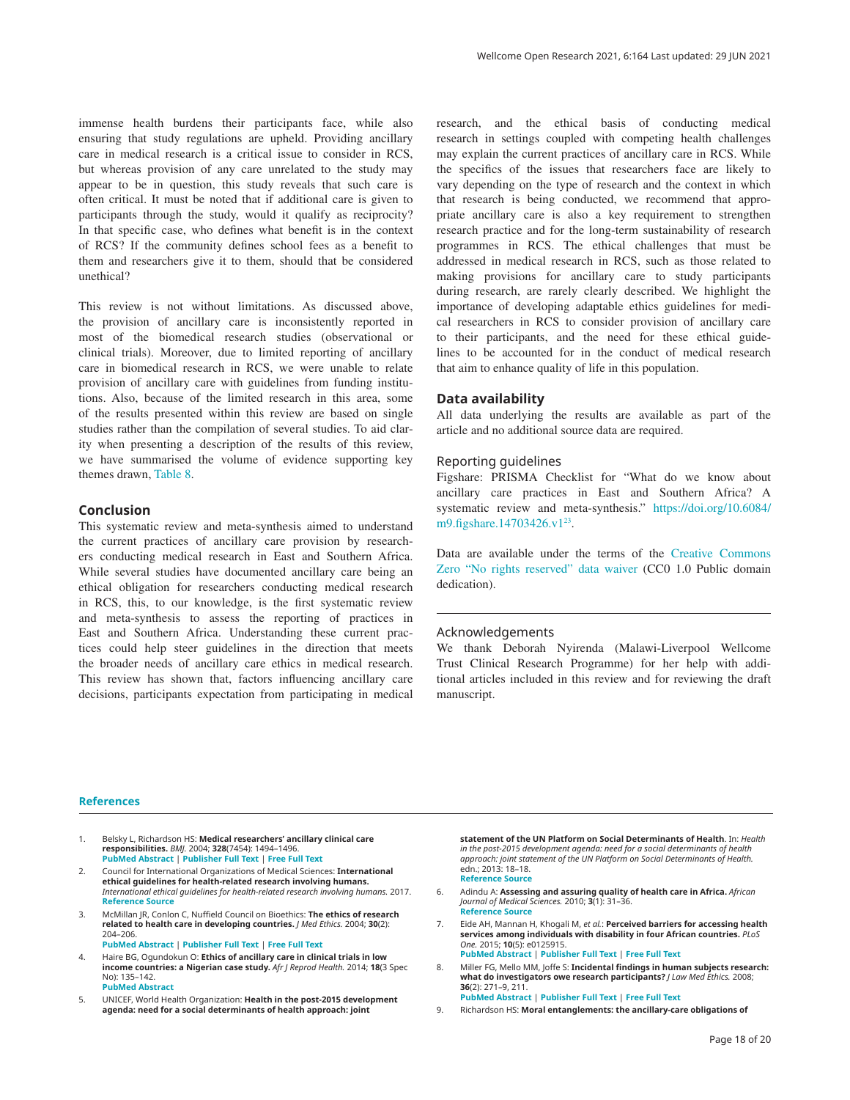<span id="page-17-0"></span>immense health burdens their participants face, while also ensuring that study regulations are upheld. Providing ancillary care in medical research is a critical issue to consider in RCS, but whereas provision of any care unrelated to the study may appear to be in question, this study reveals that such care is often critical. It must be noted that if additional care is given to participants through the study, would it qualify as reciprocity? In that specific case, who defines what benefit is in the context of RCS? If the community defines school fees as a benefit to them and researchers give it to them, should that be considered unethical?

This review is not without limitations. As discussed above, the provision of ancillary care is inconsistently reported in most of the biomedical research studies (observational or clinical trials). Moreover, due to limited reporting of ancillary care in biomedical research in RCS, we were unable to relate provision of ancillary care with guidelines from funding institutions. Also, because of the limited research in this area, some of the results presented within this review are based on single studies rather than the compilation of several studies. To aid clarity when presenting a description of the results of this review, we have summarised the volume of evidence supporting key themes drawn, [Table 8.](#page-13-0)

## **Conclusion**

This systematic review and meta-synthesis aimed to understand the current practices of ancillary care provision by researchers conducting medical research in East and Southern Africa. While several studies have documented ancillary care being an ethical obligation for researchers conducting medical research in RCS, this, to our knowledge, is the first systematic review and meta-synthesis to assess the reporting of practices in East and Southern Africa. Understanding these current practices could help steer guidelines in the direction that meets the broader needs of ancillary care ethics in medical research. This review has shown that, factors influencing ancillary care decisions, participants expectation from participating in medical research, and the ethical basis of conducting medical research in settings coupled with competing health challenges may explain the current practices of ancillary care in RCS. While the specifics of the issues that researchers face are likely to vary depending on the type of research and the context in which that research is being conducted, we recommend that appropriate ancillary care is also a key requirement to strengthen research practice and for the long-term sustainability of research programmes in RCS. The ethical challenges that must be addressed in medical research in RCS, such as those related to making provisions for ancillary care to study participants during research, are rarely clearly described. We highlight the importance of developing adaptable ethics guidelines for medical researchers in RCS to consider provision of ancillary care to their participants, and the need for these ethical guidelines to be accounted for in the conduct of medical research that aim to enhance quality of life in this population.

#### **Data availability**

All data underlying the results are available as part of the article and no additional source data are required.

#### Reporting guidelines

Figshare: PRISMA Checklist for "What do we know about ancillary care practices in East and Southern Africa? A systematic review and meta-synthesis." [https://doi.org/10.6084/](https://doi.org/10.6084/m9.figshare.14703426.v1) [m9.figshare.14703426.v1](https://doi.org/10.6084/m9.figshare.14703426.v1)<sup>23</sup>.

Data are available under the terms of the [Creative Commons](http://creativecommons.org/publicdomain/zero/1.0/)  [Zero "No rights reserved" data waiver](http://creativecommons.org/publicdomain/zero/1.0/) (CC0 1.0 Public domain dedication).

#### Acknowledgements

We thank Deborah Nyirenda (Malawi-Liverpool Wellcome Trust Clinical Research Programme) for her help with additional articles included in this review and for reviewing the draft manuscript.

#### **References**

- 1. Belsky L, Richardson HS: **Medical researchers' ancillary clinical care responsibilities.** *BMJ.* 2004; **328**(7454): 1494–1496. **[PubMed Abstract](http://www.ncbi.nlm.nih.gov/pubmed/15205296)** | **[Publisher Full Text](http://dx.doi.org/10.1136/bmj.328.7454.1494)** | **[Free Full Text](http://www.ncbi.nlm.nih.gov/pmc/articles/428526)**
- 2. Council for International Organizations of Medical Sciences: **International ethical guidelines for health-related research involving humans.** *International ethical guidelines for health-related research involving humans.* 2017. **[Reference Source](https://books.google.co.in/books/about/International_Ethical_Guidelines_for_Hea.html?id=s8RcAQAACAAJ&redir_esc=y)**
- 3. McMillan JR, Conlon C, Nuffield Council on Bioethics: **The ethics of research related to health care in developing countries.** *J Med Ethics.* 2004; **30**(2): 204–206. **[PubMed Abstract](http://www.ncbi.nlm.nih.gov/pubmed/15082819)** | **[Publisher Full Text](http://dx.doi.org/10.1136/jme.2002.001263)** | **[Free Full Text](http://www.ncbi.nlm.nih.gov/pmc/articles/1733832)**
- 4. Haire BG, Ogundokun O: **Ethics of ancillary care in clinical trials in low**
- **income countries: a Nigerian case study.** *Afr J Reprod Health.* 2014; **18**(3 Spec No): 135–142. **[PubMed Abstract](http://www.ncbi.nlm.nih.gov/pubmed/26050386)**
- 5. UNICEF, World Health Organization: **Health in the post-2015 development agenda: need for a social determinants of health approach: joint**

**statement of the UN Platform on Social Determinants of Health**. In: *Health in the post-2015 development agenda: need for a social determinants of health approach: joint statement of the UN Platform on Social Determinants of Health.* edn.; 2013: 18–18. **[Reference Source](https://www.who.int/social_determinants/advocacy/health-post-2015_sdh/en/)**

- 6. Adindu A: **Assessing and assuring quality of health care in Africa.** *African Journal of Medical Sciences.* 2010; **3**(1): 31–36. **[Reference Source](https://www.researchgate.net/publication/267381762_Assessing_and_Assuring_Quality_of_Health_Care_in_Africa)**
- 7. Eide AH, Mannan H, Khogali M, *et al.*: **Perceived barriers for accessing health services among individuals with disability in four African countries.** *PLoS One.* 2015; **10**(5): e0125915. **[PubMed Abstract](http://www.ncbi.nlm.nih.gov/pubmed/25993307)** | **[Publisher Full Text](http://dx.doi.org/10.1371/journal.pone.0125915)** | **[Free Full Text](http://www.ncbi.nlm.nih.gov/pmc/articles/4489521)**
- 8. Miller FG, Mello MM, Joffe S: **Incidental findings in human subjects research: what do investigators owe research participants?** *J Law Med Ethics.* 2008; **36**(2): 271–9, 211. **[PubMed Abstract](http://www.ncbi.nlm.nih.gov/pubmed/18547194)** | **[Publisher Full Text](http://dx.doi.org/10.1111/j.1748-720X.2008.00269.x)** | **[Free Full Text](http://www.ncbi.nlm.nih.gov/pmc/articles/2610459)**
- 9. Richardson HS: **Moral entanglements: the ancillary-care obligations of**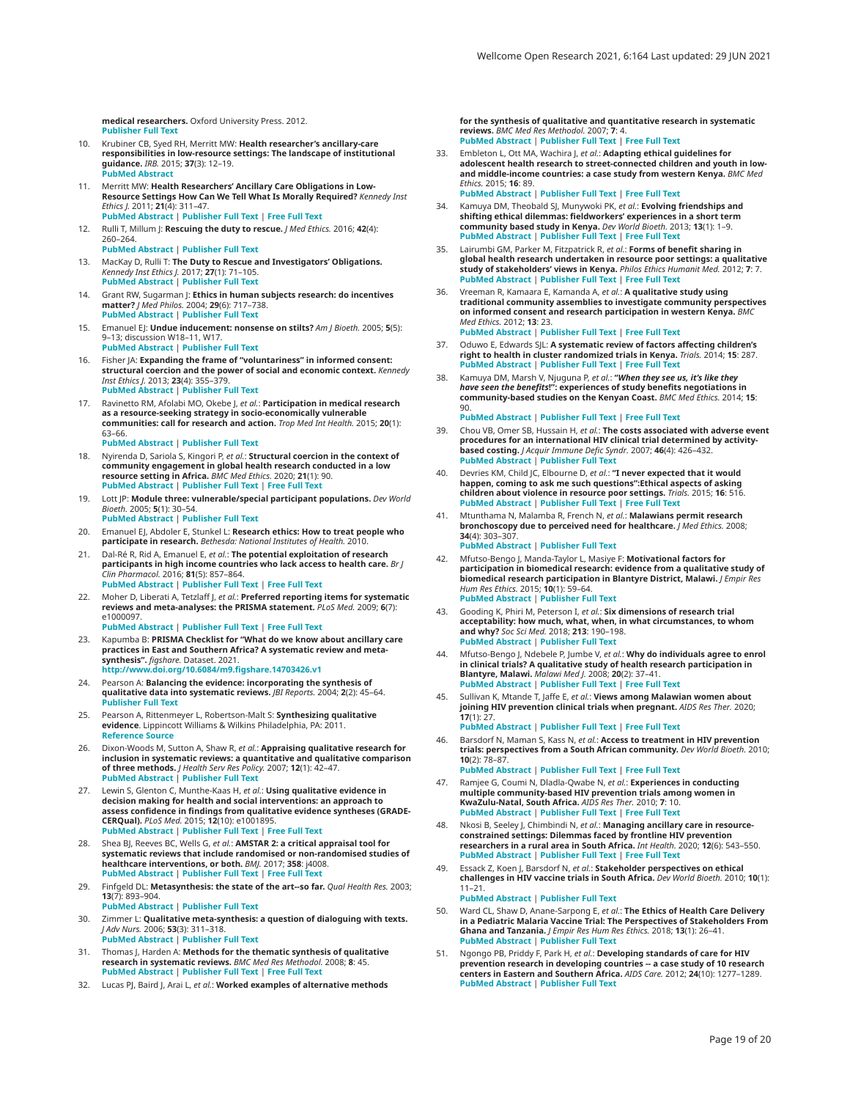<span id="page-18-0"></span>**medical researchers.** Oxford University Press. 2012. **[Publisher Full Text](http://dx.doi.org/10.1093/acprof:oso/9780195388930.001.0001)**

- 10. Krubiner CB, Syed RH, Merritt MW: **Health researcher's ancillary-care responsibilities in low-resource settings: The landscape of institutional guidance.** *IRB.* 2015; **37**(3): 12–19. **[PubMed Abstract](http://www.ncbi.nlm.nih.gov/pubmed/26331186)**
- **Merritt MW: Health Researchers' Ancillary Care Obligations in Low-Resource Settings How Can We Tell What Is Morally Required?** *Kennedy Inst Ethics J.* 2011; **21**(4): 311–47. **[PubMed Abstract](http://www.ncbi.nlm.nih.gov/pubmed/22187929)** | **[Publisher Full Text](http://dx.doi.org/10.1353/ken.2011.0019)** | **[Free Full Text](http://www.ncbi.nlm.nih.gov/pmc/articles/3576820)**
- 12. Rulli T, Millum J: **Rescuing the duty to rescue.** *J Med Ethics.* 2016; **42**(4): 260–264. **[PubMed Abstract](http://www.ncbi.nlm.nih.gov/pubmed/24790055)** | **[Publisher Full Text](http://dx.doi.org/10.1136/medethics-2013-101643)**
- 13. MacKay D, Rulli T: **The Duty to Rescue and Investigators' Obligations.** *Kennedy Inst Ethics J.* 2017; **27**(1): 71–105. **[PubMed Abstract](http://www.ncbi.nlm.nih.gov/pubmed/28366904)** | **[Publisher Full Text](http://dx.doi.org/10.1353/ken.2017.0004)**
- 14. Grant RW, Sugarman J: **Ethics in human subjects research: do incentives matter?** *J Med Philos.* 2004; **29**(6): 717–738. **[PubMed Abstract](http://www.ncbi.nlm.nih.gov/pubmed/15590518)** | **[Publisher Full Text](http://dx.doi.org/10.1080/03605310490883046)**
- 15. Emanuel EJ: **Undue inducement: nonsense on stilts?** *Am J Bioeth.* 2005; **5**(5): 9–13; discussion W18–11, W17. **[PubMed Abstract](http://www.ncbi.nlm.nih.gov/pubmed/16179296)** | **[Publisher Full Text](http://dx.doi.org/10.1080/15265160500244959)**
- 16. Fisher JA: **Expanding the frame of "voluntariness" in informed consent: structural coercion and the power of social and economic context.** *Kennedy Inst Ethics J.* 2013; **23**(4): 355–379. **[PubMed Abstract](http://www.ncbi.nlm.nih.gov/pubmed/24552076)** | **[Publisher Full Text](http://dx.doi.org/10.1353/ken.2013.0018)**
- 17. Ravinetto RM, Afolabi MO, Okebe J, *et al.*: **Participation in medical research as a resource-seeking strategy in socio-economically vulnerable communities: call for research and action.** *Trop Med Int Health.* 2015; **20**(1): 63–66. **[PubMed Abstract](http://www.ncbi.nlm.nih.gov/pubmed/25302444)** | **[Publisher Full Text](http://dx.doi.org/10.1111/tmi.12396)**
- 18. Nyirenda D, Sariola S, Kingori P, *et al.*: **Structural coercion in the context of community engagement in global health research conducted in a low resource setting in Africa.** *BMC Med Ethics.* 2020; **21**(1): 90. **[PubMed Abstract](http://www.ncbi.nlm.nih.gov/pubmed/32957967)** | **[Publisher Full Text](http://dx.doi.org/10.1186/s12910-020-00530-1)** | **[Free Full Text](http://www.ncbi.nlm.nih.gov/pmc/articles/7504839)**
- 19. Lott JP: **Module three: vulnerable/special participant populations.** *Dev World Bioeth.* 2005; **5**(1): 30–54. **[PubMed Abstract](http://www.ncbi.nlm.nih.gov/pubmed/15748177)** | **[Publisher Full Text](http://dx.doi.org/10.1111/j.1471-8847.2005.00101.x)**
- 20. Emanuel EJ, Abdoler E, Stunkel L: **Research ethics: How to treat people who participate in research.** *Bethesda: National Institutes of Health.* 2010.
- 21. Dal-Ré R, Rid A, Emanuel E, *et al.*: **The potential exploitation of research participants in high income countries who lack access to health care.** *Br J Clin Pharmacol.* 2016; **81**(5): 857–864. **[PubMed Abstract](http://www.ncbi.nlm.nih.gov/pubmed/26743927)** | **[Publisher Full Text](http://dx.doi.org/10.1111/bcp.12879)** | **[Free Full Text](http://www.ncbi.nlm.nih.gov/pmc/articles/4834591)**
- 22. Moher D, Liberati A, Tetzlaff J, *et al.*: **Preferred reporting items for systematic reviews and meta-analyses: the PRISMA statement.** *PLoS Med.* 2009; **6**(7): e1000097
	- **[PubMed Abstract](http://www.ncbi.nlm.nih.gov/pubmed/19621072)** | **[Publisher Full Text](http://dx.doi.org/10.1371/journal.pmed.1000097)** | **[Free Full Text](http://www.ncbi.nlm.nih.gov/pmc/articles/2707599)**
- 23. Kapumba B: **PRISMA Checklist for "What do we know about ancillary care practices in East and Southern Africa? A systematic review and metasynthesis".** *figshare.* Dataset. 2021. **[http://www.doi.org/10.6084/m9.figshare.14703426.v](http://www.doi.org/10.6084/m9.figshare.14703426.v1)1**
- 24. Pearson A: **Balancing the evidence: incorporating the synthesis of qualitative data into systematic reviews.** *JBI Reports.* 2004; **2**(2): 45–64. **[Publisher Full Text](http://dx.doi.org/10.1111/j.1479-6988.2004.00008.x)**
- 25. Pearson A, Rittenmeyer L, Robertson-Malt S: **Synthesizing qualitative evidence**. Lippincott Williams & Wilkins Philadelphia, PA: 2011. **[Reference Source](https://nursing.lsuhsc.edu/JBI/docs/JBIBooks/Syn_Qual_Evidence.pdf)**
- 26. Dixon-Woods M, Sutton A, Shaw R, *et al.*: **Appraising qualitative research for inclusion in systematic reviews: a quantitative and qualitative comparison of three methods.** *J Health Serv Res Policy.* 2007; **12**(1): 42–47. **[PubMed Abstract](http://www.ncbi.nlm.nih.gov/pubmed/17244397)** | **[Publisher Full Text](http://dx.doi.org/10.1258/135581907779497486)**
- 27. Lewin S, Glenton C, Munthe-Kaas H, *et al.*: **Using qualitative evidence in decision making for health and social interventions: an approach to assess confidence in findings from qualitative evidence syntheses (GRADE-CERQual).** *PLoS Med.* 2015; **12**(10): e1001895. **[PubMed Abstract](http://www.ncbi.nlm.nih.gov/pubmed/26506244)** | **[Publisher Full Text](http://dx.doi.org/10.1371/journal.pmed.1001895)** | **[Free Full Text](http://www.ncbi.nlm.nih.gov/pmc/articles/4624425)**
- 28. Shea BJ, Reeves BC, Wells G, *et al.*: **AMSTAR 2: a critical appraisal tool for systematic reviews that include randomised or non-randomised studies of healthcare interventions, or both.** *BMJ.* 2017; **358**: j4008. **[PubMed Abstract](http://www.ncbi.nlm.nih.gov/pubmed/28935701)** | **[Publisher Full Text](http://dx.doi.org/10.1136/bmj.j4008)** | **[Free Full Text](http://www.ncbi.nlm.nih.gov/pmc/articles/5833365)**
- 29. Finfgeld DL: **Metasynthesis: the state of the art--so far.** *Qual Health Res.* 2003; **13**(7): 893–904. **[PubMed Abstract](http://www.ncbi.nlm.nih.gov/pubmed/14502956)** | **[Publisher Full Text](http://dx.doi.org/10.1177/1049732303253462)**
- 30. Zimmer L: **Qualitative meta-synthesis: a question of dialoguing with texts.** *J Adv Nurs.* 2006; **53**(3): 311–318. **[PubMed Abstract](http://www.ncbi.nlm.nih.gov/pubmed/16441536)** | **[Publisher Full Text](http://dx.doi.org/10.1111/j.1365-2648.2006.03721.x)**
- 31. Thomas J, Harden A: **Methods for the thematic synthesis of qualitative research in systematic reviews.** *BMC Med Res Methodol.* 2008; **8**: 45. **[PubMed Abstract](http://www.ncbi.nlm.nih.gov/pubmed/18616818)** | **[Publisher Full Text](http://dx.doi.org/10.1186/1471-2288-8-45)** | **[Free Full Text](http://www.ncbi.nlm.nih.gov/pmc/articles/2478656)**
- 32. Lucas PJ, Baird J, Arai L, *et al.*: **Worked examples of alternative methods**

**for the synthesis of qualitative and quantitative research in systematic reviews.** *BMC Med Res Methodol.* 2007; **7**: 4. **[PubMed Abstract](http://www.ncbi.nlm.nih.gov/pubmed/17224044)** | **[Publisher Full Text](http://dx.doi.org/10.1186/1471-2288-7-4)** | **[Free Full Text](http://www.ncbi.nlm.nih.gov/pmc/articles/1783856)**

- 33. Embleton L, Ott MA, Wachira J, *et al.*: **Adapting ethical guidelines for adolescent health research to street-connected children and youth in lowand middle-income countries: a case study from western Kenya.** *BMC Med Ethics.* 2015; **16**: 89. **[PubMed Abstract](http://www.ncbi.nlm.nih.gov/pubmed/26687378)** | **[Publisher Full Text](http://dx.doi.org/10.1186/s12910-015-0084-y)** | **[Free Full Text](http://www.ncbi.nlm.nih.gov/pmc/articles/4684915)**
- 34. Kamuya DM, Theobald SJ, Munywoki PK, *et al.*: **Evolving friendships and shifting ethical dilemmas: fieldworkers' experiences in a short term community based study in Kenya.** *Dev World Bioeth.* 2013; **13**(1): 1–9. **[PubMed Abstract](http://www.ncbi.nlm.nih.gov/pubmed/23433316)** | **[Publisher Full Text](http://dx.doi.org/10.1111/dewb.12009)** | **[Free Full Text](http://www.ncbi.nlm.nih.gov/pmc/articles/3662996)**
- 35. Lairumbi GM, Parker M, Fitzpatrick R, *et al.*: **Forms of benefit sharing in global health research undertaken in resource poor settings: a qualitative study of stakeholders' views in Kenya.** *Philos Ethics Humanit Med.* 2012; **7**: 7. **[PubMed Abstract](http://www.ncbi.nlm.nih.gov/pubmed/22251457)** | **[Publisher Full Text](http://dx.doi.org/10.1186/1747-5341-7-7)** | **[Free Full Text](http://www.ncbi.nlm.nih.gov/pmc/articles/3274462)**
- 36. Vreeman R, Kamaara E, Kamanda A, *et al.*: **A qualitative study using traditional community assemblies to investigate community perspectives on informed consent and research participation in western Kenya.** *BMC Med Ethics.* 2012; **13**: 23. **[PubMed Abstract](http://www.ncbi.nlm.nih.gov/pubmed/23009744)** | **[Publisher Full Text](http://dx.doi.org/10.1186/1472-6939-13-23)** | **[Free Full Text](http://www.ncbi.nlm.nih.gov/pmc/articles/3515354)**
- 37. Oduwo E, Edwards SJL: **A systematic review of factors affecting children's right to health in cluster randomized trials in Kenya.** *Trials.* 2014; **15**: 287. **[PubMed Abstract](http://www.ncbi.nlm.nih.gov/pubmed/25027410)** | **[Publisher Full Text](http://dx.doi.org/10.1186/1745-6215-15-287)** | **[Free Full Text](http://www.ncbi.nlm.nih.gov/pmc/articles/4223386)**
- 38. Kamuya DM, Marsh V, Njuguna P, *et al.*: **"***When they see us, it's like they have seen the benefits***!": experiences of study benefits negotiations in community-based studies on the Kenyan Coast.** *BMC Med Ethics.* 2014; **15**:
	- 90. **[PubMed Abstract](http://www.ncbi.nlm.nih.gov/pubmed/25539983)** | **[Publisher Full Text](http://dx.doi.org/10.1186/1472-6939-15-90)** | **[Free Full Text](http://www.ncbi.nlm.nih.gov/pmc/articles/4391117)**
- 39. Chou VB, Omer SB, Hussain H, *et al.*: **The costs associated with adverse event procedures for an international HIV clinical trial determined by activitybased costing.** *J Acquir Immune Defic Syndr.* 2007; **46**(4): 426–432. **[PubMed Abstract](http://www.ncbi.nlm.nih.gov/pubmed/17786129)** | **[Publisher Full Text](http://dx.doi.org/10.1097/QAI.0b013e318156ee37)**
- 40. Devries KM, Child JC, Elbourne D, *et al.*: **"I never expected that it would**  happen, coming to ask me such questions":Ethical aspects of asking<br>children about violence in resource poor settings. Trials. 2015; 16: 516.<br>[PubMed Abstract](http://www.ncbi.nlm.nih.gov/pubmed/26558829) | [Publisher Full Text](http://dx.doi.org/10.1186/s13063-015-1004-7) | [Free Full Text](http://www.ncbi.nlm.nih.gov/pmc/articles/4642767)
- 41. Mtunthama N, Malamba R, French N, *et al.*: **Malawians permit research bronchoscopy due to perceived need for healthcare.** *J Med Ethics.* 2008; **34**(4): 303–307. **[PubMed Abstract](http://www.ncbi.nlm.nih.gov/pubmed/18375686)** | **[Publisher Full Text](http://dx.doi.org/10.1136/jme.2007.020461)**
- 42. Mfutso-Bengo J, Manda-Taylor L, Masiye F: **Motivational factors for participation in biomedical research: evidence from a qualitative study of biomedical research participation in Blantyre District, Malawi.** *J Empir Res Hum Res Ethics.* 2015; **10**(1): 59–64. **[PubMed Abstract](http://www.ncbi.nlm.nih.gov/pubmed/25742667)** | **[Publisher Full Text](http://dx.doi.org/ 10.1177/1556264614559888)**
- 43. Gooding K, Phiri M, Peterson I, *et al.*: **Six dimensions of research trial acceptability: how much, what, when, in what circumstances, to whom and why?** *Soc Sci Med.* 2018; **213**: 190–198. **[PubMed Abstract](http://www.ncbi.nlm.nih.gov/pubmed/30142500)** | **[Publisher Full Text](http://dx.doi.org/10.1016/j.socscimed.2018.07.040)**
- 44. Mfutso-Bengo J, Ndebele P, Jumbe V, *et al.*: **Why do individuals agree to enrol in clinical trials? A qualitative study of health research participation in Blantyre, Malawi.** *Malawi Med J.* 2008; **20**(2): 37–41. **[PubMed Abstract](http://www.ncbi.nlm.nih.gov/pubmed/19537430)** | **[Publisher Full Text](http://dx.doi.org/10.4314/mmj.v20i2.10898)** | **[Free Full Text](http://www.ncbi.nlm.nih.gov/pmc/articles/3345665)**
- 45. Sullivan K, Mtande T, Jaffe E, *et al.*: **Views among Malawian women about joining HIV prevention clinical trials when pregnant.** *AIDS Res Ther.* 2020; **17**(1): 27 **[PubMed Abstract](http://www.ncbi.nlm.nih.gov/pubmed/32460804)** | **[Publisher Full Text](http://dx.doi.org/10.1186/s12981-020-00271-6)** | **[Free Full Text](http://www.ncbi.nlm.nih.gov/pmc/articles/7251879)**
- 46. Barsdorf N, Maman S, Kass N, *et al.*: **Access to treatment in HIV prevention trials: perspectives from a South African community.** *Dev World Bioeth.* 2010; **10**(2): 78–87. **[PubMed Abstract](http://www.ncbi.nlm.nih.gov/pubmed/19793135)** | **[Publisher Full Text](http://dx.doi.org/10.1111/j.1471-8847.2009.00265.x)** | **[Free Full Text](http://www.ncbi.nlm.nih.gov/pmc/articles/2891264)**
- 47. Ramjee G, Coumi N, Dladla-Qwabe N, *et al.*: **Experiences in conducting multiple community-based HIV prevention trials among women in KwaZulu-Natal, South Africa.** *AIDS Res Ther.* 2010; **7**: 10. **[PubMed Abstract](http://www.ncbi.nlm.nih.gov/pubmed/20416063)** | **[Publisher Full Text](http://dx.doi.org/10.1186/1742-6405-7-10)** | **[Free Full Text](http://www.ncbi.nlm.nih.gov/pmc/articles/2869332)**
- 48. Nkosi B, Seeley J, Chimbindi N, *et al.*: **Managing ancillary care in resourceconstrained settings: Dilemmas faced by frontline HIV prevention researchers in a rural area in South Africa.** *Int Health.* 2020; **12**(6): 543–550. **[PubMed Abstract](http://www.ncbi.nlm.nih.gov/pubmed/33165553)** | **[Publisher Full Text](http://dx.doi.org/10.1093/inthealth/ihaa045)** | **[Free Full Text](http://www.ncbi.nlm.nih.gov/pmc/articles/7651306)**
- 49. Essack Z, Koen J, Barsdorf N, *et al.*: **Stakeholder perspectives on ethical challenges in HIV vaccine trials in South Africa.** *Dev World Bioeth.* 2010; **10**(1): 11–21. **[PubMed Abstract](http://www.ncbi.nlm.nih.gov/pubmed/19459900)** | **[Publisher Full Text](http://dx.doi.org/10.1111/j.1471-8847.2009.00254.x)**
- 50. Ward CL, Shaw D, Anane-Sarpong E, *et al.*: **The Ethics of Health Care Delivery in a Pediatric Malaria Vaccine Trial: The Perspectives of Stakeholders From Ghana and Tanzania.** *J Empir Res Hum Res Ethics.* 2018; **13**(1): 26–41. **[PubMed Abstract](http://www.ncbi.nlm.nih.gov/pubmed/29179625)** | **[Publisher Full Text](http://dx.doi.org/10.1177/1556264617742236)**
- 51. Ngongo PB, Priddy F, Park H, *et al.*: **Developing standards of care for HIV prevention research in developing countries -- a case study of 10 research centers in Eastern and Southern Africa.** *AIDS Care.* 2012; **24**(10): 1277–1289. **[PubMed Abstract](http://www.ncbi.nlm.nih.gov/pubmed/22452384)** | **[Publisher Full Text](http://dx.doi.org/10.1080/09540121.2012.656572)**